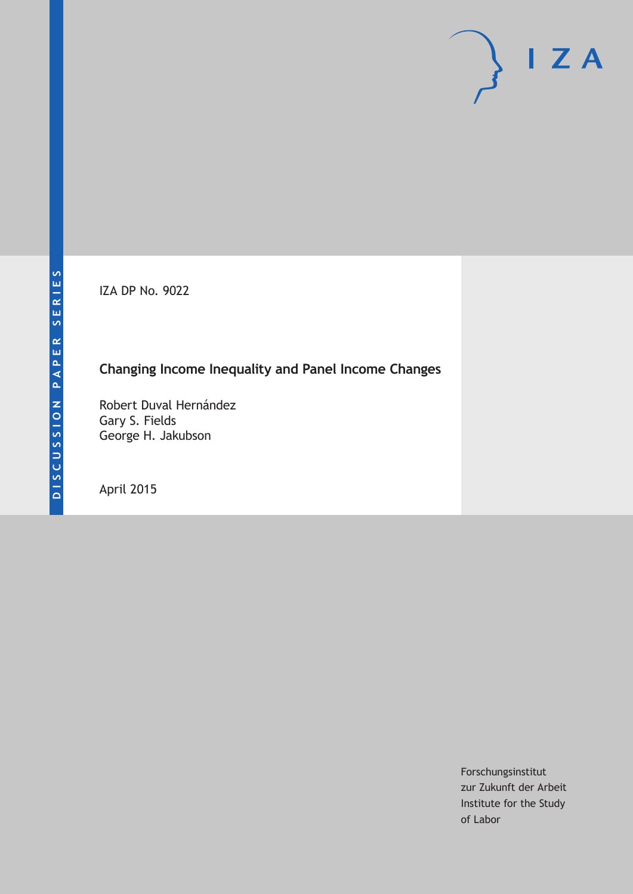IZA DP No. 9022

# **Changing Income Inequality and Panel Income Changes**

Robert Duval Hernández Gary S. Fields George H. Jakubson

April 2015

Forschungsinstitut zur Zukunft der Arbeit Institute for the Study of Labor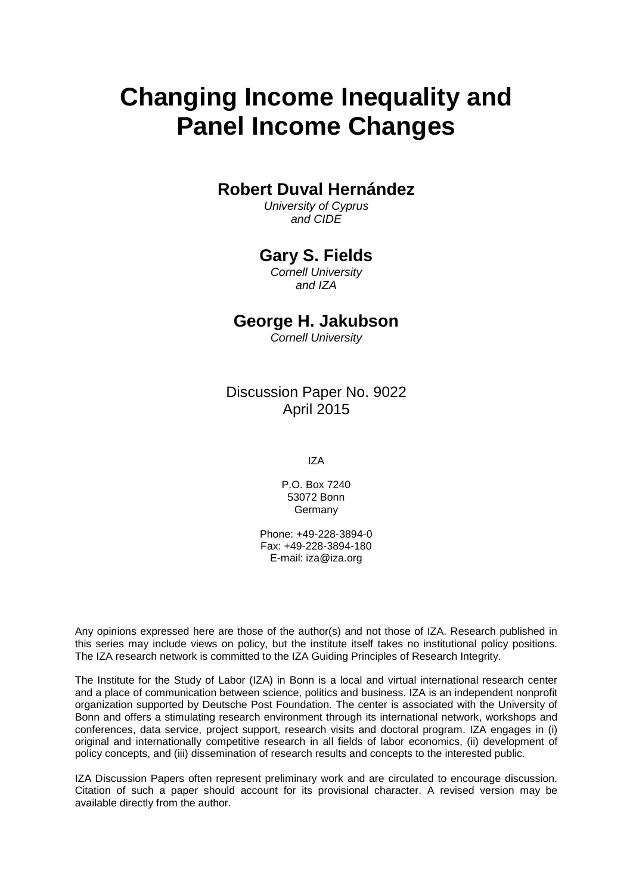# **Changing Income Inequality and Panel Income Changes**

# **Robert Duval Hernández**

*University of Cyprus and CIDE*

# **Gary S. Fields**

*Cornell University and IZA*

# **George H. Jakubson**

*Cornell University*

Discussion Paper No. 9022 April 2015

IZA

P.O. Box 7240 53072 Bonn Germany

Phone: +49-228-3894-0 Fax: +49-228-3894-180 E-mail: iza@iza.org

Any opinions expressed here are those of the author(s) and not those of IZA. Research published in this series may include views on policy, but the institute itself takes no institutional policy positions. The IZA research network is committed to the IZA Guiding Principles of Research Integrity.

The Institute for the Study of Labor (IZA) in Bonn is a local and virtual international research center and a place of communication between science, politics and business. IZA is an independent nonprofit organization supported by Deutsche Post Foundation. The center is associated with the University of Bonn and offers a stimulating research environment through its international network, workshops and conferences, data service, project support, research visits and doctoral program. IZA engages in (i) original and internationally competitive research in all fields of labor economics, (ii) development of policy concepts, and (iii) dissemination of research results and concepts to the interested public.

<span id="page-1-0"></span>IZA Discussion Papers often represent preliminary work and are circulated to encourage discussion. Citation of such a paper should account for its provisional character. A revised version may be available directly from the author.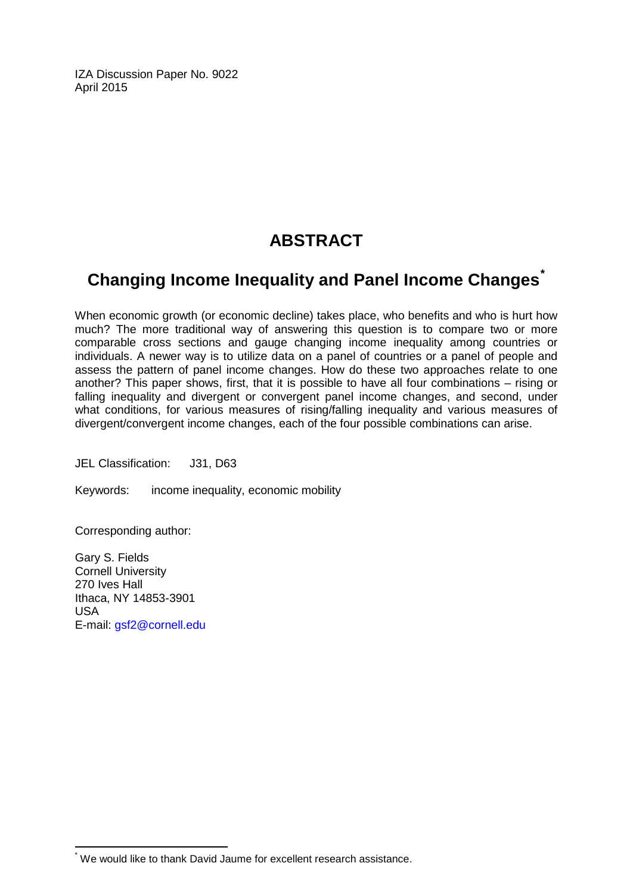IZA Discussion Paper No. 9022 April 2015

# **ABSTRACT**

# **Changing Income Inequality and Panel Income Changes[\\*](#page-1-0)**

When economic growth (or economic decline) takes place, who benefits and who is hurt how much? The more traditional way of answering this question is to compare two or more comparable cross sections and gauge changing income inequality among countries or individuals. A newer way is to utilize data on a panel of countries or a panel of people and assess the pattern of panel income changes. How do these two approaches relate to one another? This paper shows, first, that it is possible to have all four combinations – rising or falling inequality and divergent or convergent panel income changes, and second, under what conditions, for various measures of rising/falling inequality and various measures of divergent/convergent income changes, each of the four possible combinations can arise.

JEL Classification: J31, D63

Keywords: income inequality, economic mobility

Corresponding author:

Gary S. Fields Cornell University 270 Ives Hall Ithaca, NY 14853-3901 USA E-mail: [gsf2@cornell.edu](mailto:gsf2@cornell.edu)

\* We would like to thank David Jaume for excellent research assistance.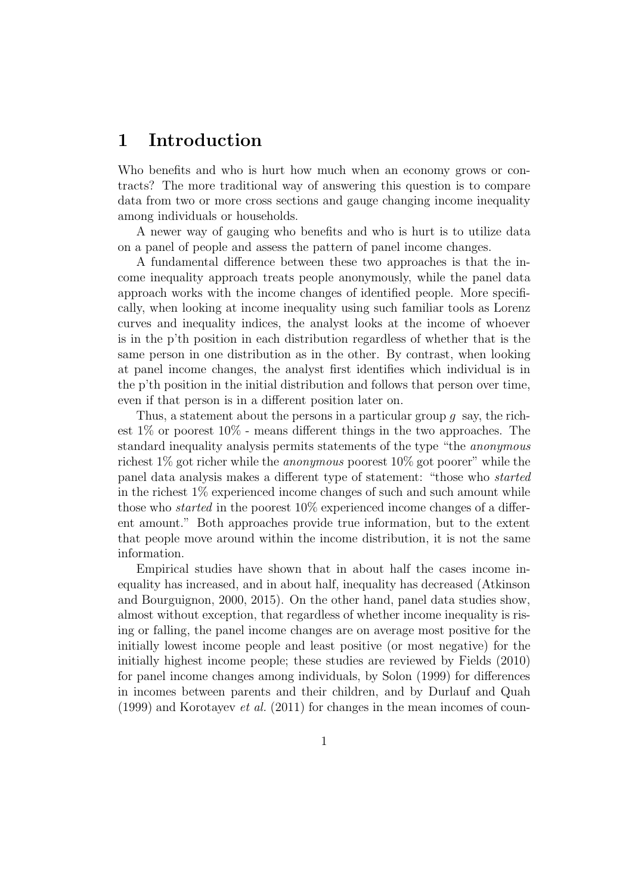# 1 Introduction

Who benefits and who is hurt how much when an economy grows or contracts? The more traditional way of answering this question is to compare data from two or more cross sections and gauge changing income inequality among individuals or households.

A newer way of gauging who benefits and who is hurt is to utilize data on a panel of people and assess the pattern of panel income changes.

A fundamental difference between these two approaches is that the income inequality approach treats people anonymously, while the panel data approach works with the income changes of identified people. More specifically, when looking at income inequality using such familiar tools as Lorenz curves and inequality indices, the analyst looks at the income of whoever is in the p'th position in each distribution regardless of whether that is the same person in one distribution as in the other. By contrast, when looking at panel income changes, the analyst first identifies which individual is in the p'th position in the initial distribution and follows that person over time, even if that person is in a different position later on.

Thus, a statement about the persons in a particular group q say, the richest 1% or poorest 10% - means different things in the two approaches. The standard inequality analysis permits statements of the type "the anonymous richest  $1\%$  got richer while the *anonymous* poorest  $10\%$  got poorer" while the panel data analysis makes a different type of statement: "those who started in the richest 1% experienced income changes of such and such amount while those who *started* in the poorest 10% experienced income changes of a different amount." Both approaches provide true information, but to the extent that people move around within the income distribution, it is not the same information.

Empirical studies have shown that in about half the cases income inequality has increased, and in about half, inequality has decreased (Atkinson and Bourguignon, 2000, 2015). On the other hand, panel data studies show, almost without exception, that regardless of whether income inequality is rising or falling, the panel income changes are on average most positive for the initially lowest income people and least positive (or most negative) for the initially highest income people; these studies are reviewed by Fields (2010) for panel income changes among individuals, by Solon (1999) for differences in incomes between parents and their children, and by Durlauf and Quah  $(1999)$  and Korotayev *et al.*  $(2011)$  for changes in the mean incomes of coun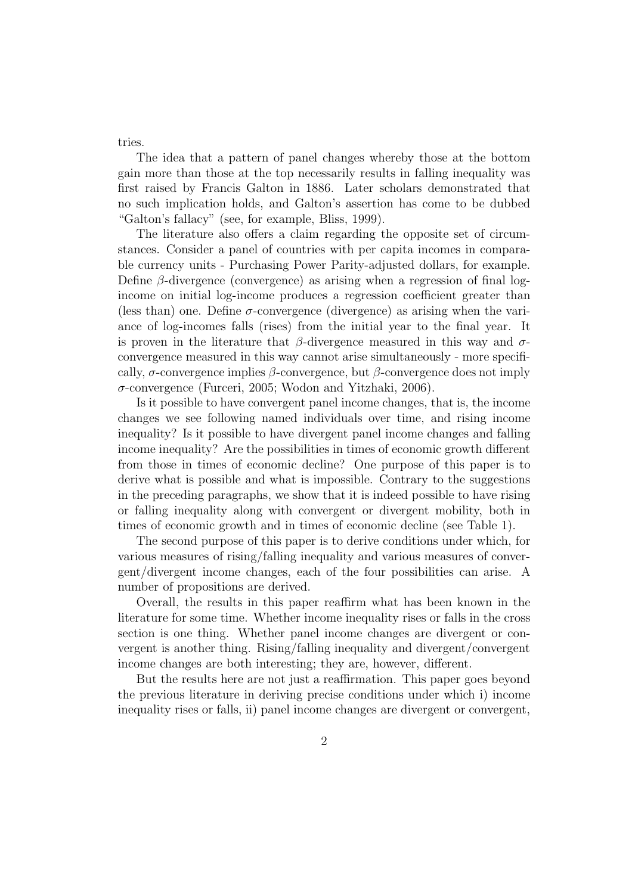tries.

The idea that a pattern of panel changes whereby those at the bottom gain more than those at the top necessarily results in falling inequality was first raised by Francis Galton in 1886. Later scholars demonstrated that no such implication holds, and Galton's assertion has come to be dubbed "Galton's fallacy" (see, for example, Bliss, 1999).

The literature also offers a claim regarding the opposite set of circumstances. Consider a panel of countries with per capita incomes in comparable currency units - Purchasing Power Parity-adjusted dollars, for example. Define  $\beta$ -divergence (convergence) as arising when a regression of final logincome on initial log-income produces a regression coefficient greater than (less than) one. Define  $\sigma$ -convergence (divergence) as arising when the variance of log-incomes falls (rises) from the initial year to the final year. It is proven in the literature that  $\beta$ -divergence measured in this way and  $\sigma$ convergence measured in this way cannot arise simultaneously - more specifically,  $\sigma$ -convergence implies  $\beta$ -convergence, but  $\beta$ -convergence does not imply σ-convergence (Furceri, 2005; Wodon and Yitzhaki, 2006).

Is it possible to have convergent panel income changes, that is, the income changes we see following named individuals over time, and rising income inequality? Is it possible to have divergent panel income changes and falling income inequality? Are the possibilities in times of economic growth different from those in times of economic decline? One purpose of this paper is to derive what is possible and what is impossible. Contrary to the suggestions in the preceding paragraphs, we show that it is indeed possible to have rising or falling inequality along with convergent or divergent mobility, both in times of economic growth and in times of economic decline (see Table 1).

The second purpose of this paper is to derive conditions under which, for various measures of rising/falling inequality and various measures of convergent/divergent income changes, each of the four possibilities can arise. A number of propositions are derived.

Overall, the results in this paper reaffirm what has been known in the literature for some time. Whether income inequality rises or falls in the cross section is one thing. Whether panel income changes are divergent or convergent is another thing. Rising/falling inequality and divergent/convergent income changes are both interesting; they are, however, different.

But the results here are not just a reaffirmation. This paper goes beyond the previous literature in deriving precise conditions under which i) income inequality rises or falls, ii) panel income changes are divergent or convergent,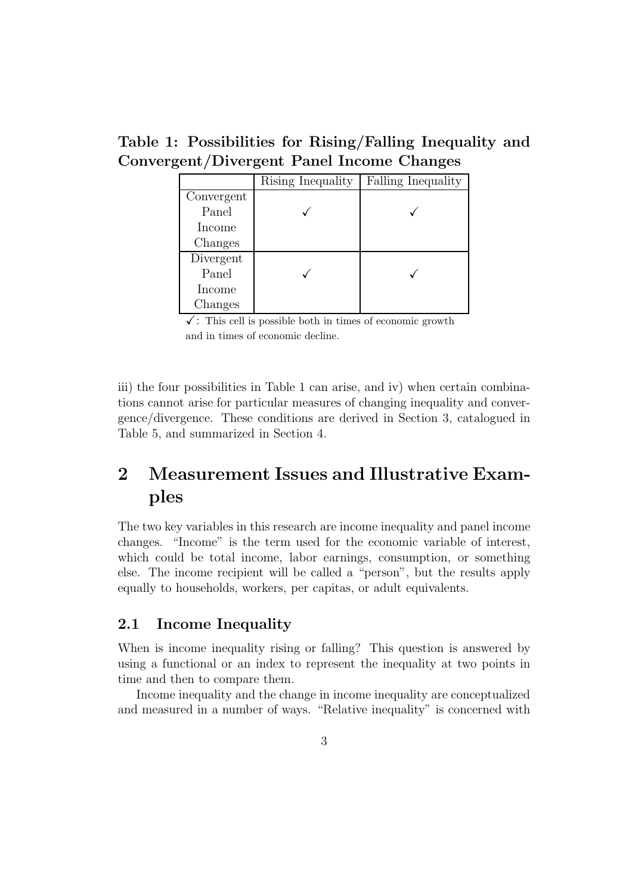Table 1: Possibilities for Rising/Falling Inequality and Convergent/Divergent Panel Income Changes

|            | Rising Inequality | Falling Inequality |  |
|------------|-------------------|--------------------|--|
| Convergent |                   |                    |  |
| Panel      |                   |                    |  |
| Income     |                   |                    |  |
| Changes    |                   |                    |  |
| Divergent  |                   |                    |  |
| Panel      |                   |                    |  |
| Income     |                   |                    |  |
| Changes    |                   |                    |  |

 $\checkmark$ : This cell is possible both in times of economic growth and in times of economic decline.

iii) the four possibilities in Table 1 can arise, and iv) when certain combinations cannot arise for particular measures of changing inequality and convergence/divergence. These conditions are derived in Section 3, catalogued in Table 5, and summarized in Section 4.

# 2 Measurement Issues and Illustrative Examples

The two key variables in this research are income inequality and panel income changes. "Income" is the term used for the economic variable of interest, which could be total income, labor earnings, consumption, or something else. The income recipient will be called a "person", but the results apply equally to households, workers, per capitas, or adult equivalents.

# 2.1 Income Inequality

When is income inequality rising or falling? This question is answered by using a functional or an index to represent the inequality at two points in time and then to compare them.

Income inequality and the change in income inequality are conceptualized and measured in a number of ways. "Relative inequality" is concerned with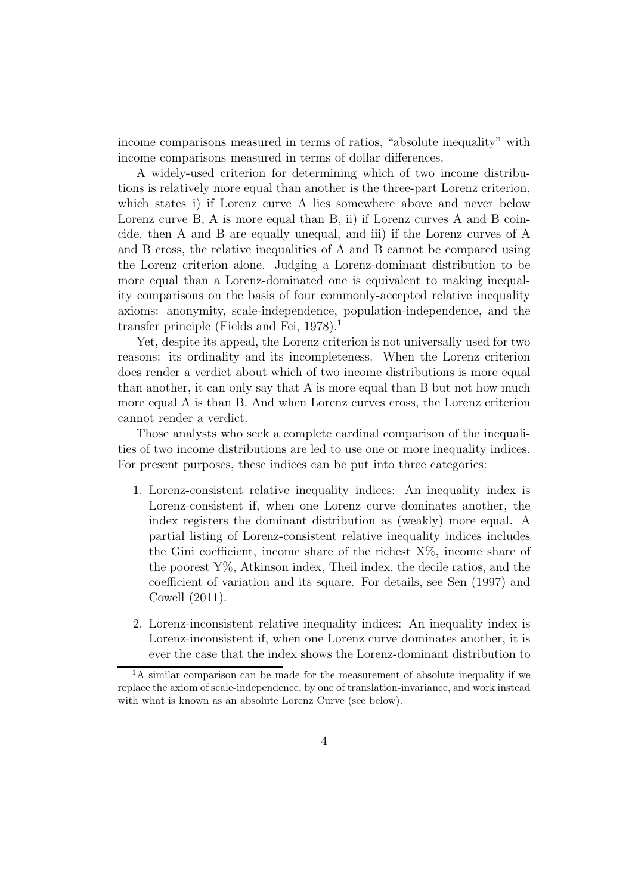income comparisons measured in terms of ratios, "absolute inequality" with income comparisons measured in terms of dollar differences.

A widely-used criterion for determining which of two income distributions is relatively more equal than another is the three-part Lorenz criterion, which states i) if Lorenz curve A lies somewhere above and never below Lorenz curve B, A is more equal than B, ii) if Lorenz curves A and B coincide, then A and B are equally unequal, and iii) if the Lorenz curves of A and B cross, the relative inequalities of A and B cannot be compared using the Lorenz criterion alone. Judging a Lorenz-dominant distribution to be more equal than a Lorenz-dominated one is equivalent to making inequality comparisons on the basis of four commonly-accepted relative inequality axioms: anonymity, scale-independence, population-independence, and the transfer principle (Fields and Fei,  $1978$ ).<sup>1</sup>

Yet, despite its appeal, the Lorenz criterion is not universally used for two reasons: its ordinality and its incompleteness. When the Lorenz criterion does render a verdict about which of two income distributions is more equal than another, it can only say that A is more equal than B but not how much more equal A is than B. And when Lorenz curves cross, the Lorenz criterion cannot render a verdict.

Those analysts who seek a complete cardinal comparison of the inequalities of two income distributions are led to use one or more inequality indices. For present purposes, these indices can be put into three categories:

- 1. Lorenz-consistent relative inequality indices: An inequality index is Lorenz-consistent if, when one Lorenz curve dominates another, the index registers the dominant distribution as (weakly) more equal. A partial listing of Lorenz-consistent relative inequality indices includes the Gini coefficient, income share of the richest  $X\%$ , income share of the poorest  $Y\%$ , Atkinson index, Theil index, the decile ratios, and the coefficient of variation and its square. For details, see Sen (1997) and Cowell (2011).
- 2. Lorenz-inconsistent relative inequality indices: An inequality index is Lorenz-inconsistent if, when one Lorenz curve dominates another, it is ever the case that the index shows the Lorenz-dominant distribution to

 ${}^{1}$ A similar comparison can be made for the measurement of absolute inequality if we replace the axiom of scale-independence, by one of translation-invariance, and work instead with what is known as an absolute Lorenz Curve (see below).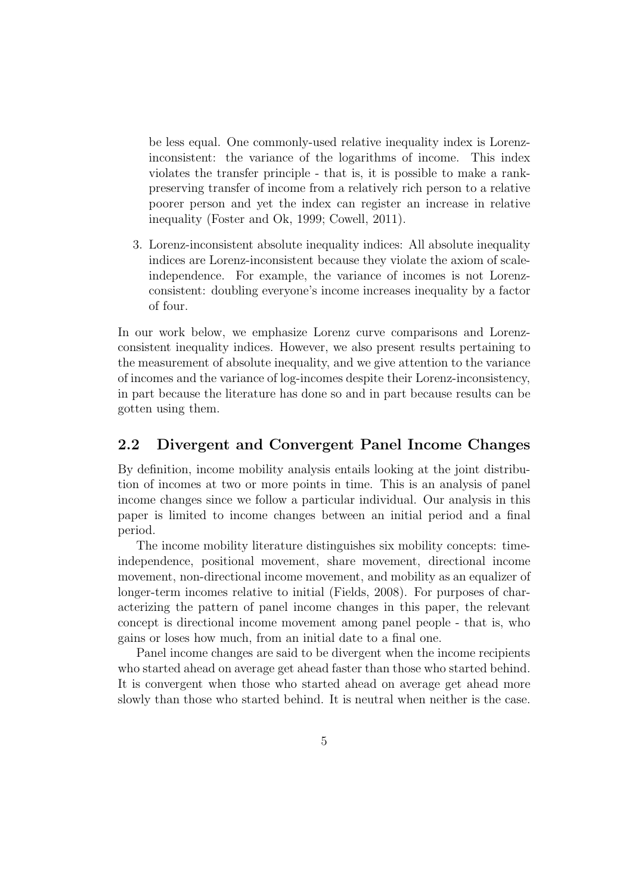be less equal. One commonly-used relative inequality index is Lorenzinconsistent: the variance of the logarithms of income. This index violates the transfer principle - that is, it is possible to make a rankpreserving transfer of income from a relatively rich person to a relative poorer person and yet the index can register an increase in relative inequality (Foster and Ok, 1999; Cowell, 2011).

3. Lorenz-inconsistent absolute inequality indices: All absolute inequality indices are Lorenz-inconsistent because they violate the axiom of scaleindependence. For example, the variance of incomes is not Lorenzconsistent: doubling everyone's income increases inequality by a factor of four.

In our work below, we emphasize Lorenz curve comparisons and Lorenzconsistent inequality indices. However, we also present results pertaining to the measurement of absolute inequality, and we give attention to the variance of incomes and the variance of log-incomes despite their Lorenz-inconsistency, in part because the literature has done so and in part because results can be gotten using them.

# 2.2 Divergent and Convergent Panel Income Changes

By definition, income mobility analysis entails looking at the joint distribution of incomes at two or more points in time. This is an analysis of panel income changes since we follow a particular individual. Our analysis in this paper is limited to income changes between an initial period and a final period.

The income mobility literature distinguishes six mobility concepts: timeindependence, positional movement, share movement, directional income movement, non-directional income movement, and mobility as an equalizer of longer-term incomes relative to initial (Fields, 2008). For purposes of characterizing the pattern of panel income changes in this paper, the relevant concept is directional income movement among panel people - that is, who gains or loses how much, from an initial date to a final one.

Panel income changes are said to be divergent when the income recipients who started ahead on average get ahead faster than those who started behind. It is convergent when those who started ahead on average get ahead more slowly than those who started behind. It is neutral when neither is the case.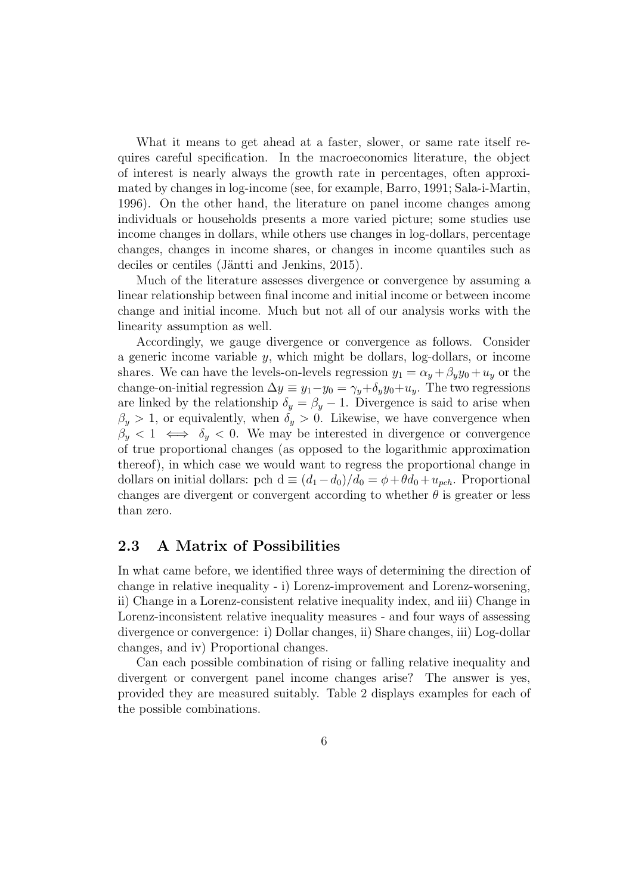What it means to get ahead at a faster, slower, or same rate itself requires careful specification. In the macroeconomics literature, the object of interest is nearly always the growth rate in percentages, often approximated by changes in log-income (see, for example, Barro, 1991; Sala-i-Martin, 1996). On the other hand, the literature on panel income changes among individuals or households presents a more varied picture; some studies use income changes in dollars, while others use changes in log-dollars, percentage changes, changes in income shares, or changes in income quantiles such as deciles or centiles (Jäntti and Jenkins, 2015).

Much of the literature assesses divergence or convergence by assuming a linear relationship between final income and initial income or between income change and initial income. Much but not all of our analysis works with the linearity assumption as well.

Accordingly, we gauge divergence or convergence as follows. Consider a generic income variable  $y$ , which might be dollars, log-dollars, or income shares. We can have the levels-on-levels regression  $y_1 = \alpha_y + \beta_y y_0 + u_y$  or the change-on-initial regression  $\Delta y \equiv y_1 - y_0 = \gamma_y + \delta_y y_0 + u_y$ . The two regressions are linked by the relationship  $\delta_y = \beta_y - 1$ . Divergence is said to arise when  $\beta_y > 1$ , or equivalently, when  $\delta_y > 0$ . Likewise, we have convergence when  $\beta_y < 1 \iff \delta_y < 0$ . We may be interested in divergence or convergence of true proportional changes (as opposed to the logarithmic approximation thereof), in which case we would want to regress the proportional change in dollars on initial dollars: pch d  $\equiv (d_1 - d_0)/d_0 = \phi + \theta d_0 + u_{pch}$ . Proportional changes are divergent or convergent according to whether  $\theta$  is greater or less than zero.

## 2.3 A Matrix of Possibilities

In what came before, we identified three ways of determining the direction of change in relative inequality - i) Lorenz-improvement and Lorenz-worsening, ii) Change in a Lorenz-consistent relative inequality index, and iii) Change in Lorenz-inconsistent relative inequality measures - and four ways of assessing divergence or convergence: i) Dollar changes, ii) Share changes, iii) Log-dollar changes, and iv) Proportional changes.

Can each possible combination of rising or falling relative inequality and divergent or convergent panel income changes arise? The answer is yes, provided they are measured suitably. Table 2 displays examples for each of the possible combinations.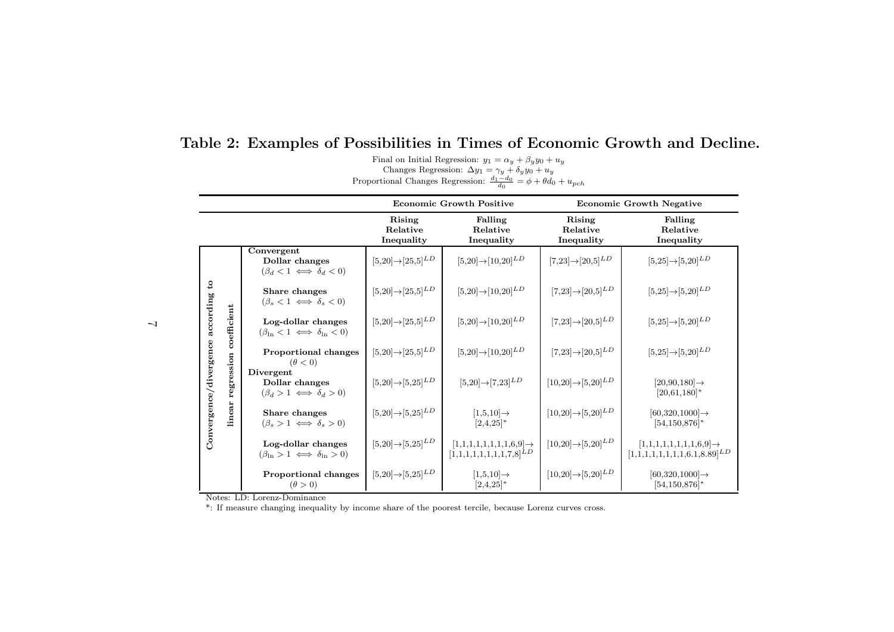Table 2: Examples of Possibilities in Times of Economic Growth and Decline.

Final on Initial Regression:  $y_1 = \alpha_y + \beta_y y_0 + u_y$ <br>Changes Regression:  $\Delta y_1 = \gamma_y + \delta_y y_0 + u_y$ 

Proportional Changes Regression:  $\frac{d_1-d_0}{d_0}$  $=\phi + \theta d_0 + u_{pch}$ 

|                                  |                                     |                                                                   | <b>Economic Growth Positive</b>             |                                                                     | <b>Economic Growth Negative</b>           |                                                                                                         |
|----------------------------------|-------------------------------------|-------------------------------------------------------------------|---------------------------------------------|---------------------------------------------------------------------|-------------------------------------------|---------------------------------------------------------------------------------------------------------|
|                                  |                                     |                                                                   | Rising<br>Relative<br>Inequality            | Falling<br>Relative<br>Inequality                                   | Rising<br>Relative<br>Inequality          | Falling<br>Relative<br>Inequality                                                                       |
|                                  | coefficient<br>regression<br>linear | Convergent<br>Dollar changes<br>$(\beta_d < 1 \iff \delta_d < 0)$ | $[5,\!20]\!\!\rightarrow\![25,\!5]^{LD}$    | $[5,20] \rightarrow [10,20]^{LD}$                                   | $[7,\!23]\!\rightarrow\![20,\!5]^{LD}$    | $[5,25] \rightarrow [5,20]^{LD}$                                                                        |
| $\mathbf{c}$                     |                                     | Share changes<br>$(\beta_s < 1 \iff \delta_s < 0)$                | $[5,20] \rightarrow [25,5]^{LD}$            | $[5,20]{\rightarrow}[10,20]^{LD}$                                   | $[7,\!23]\!\!\rightarrow\![20,\!5]^{LD}$  | $[5,\!25]\!\!\rightarrow\![5,\!20]^{LD}$                                                                |
|                                  |                                     | Log-dollar changes<br>$(\beta_{\ln} < 1 \iff \delta_{\ln} < 0)$   | $[5,20] \rightarrow [25,5]^{LD}$            | $[5,20] \rightarrow [10,20]^{LD}$                                   | $[7,\!23]\!\!\rightarrow\![20,\!5]^{LD}$  | $[5,25] \rightarrow [5,20]^{LD}$                                                                        |
|                                  |                                     | Proportional changes<br>$(\theta < 0)$                            | $[5,20] \rightarrow [25,5]^{LD}$            | $[5,20] \rightarrow [10,20]^{LD}$                                   | $[7,\!23]\!\!\rightarrow\![20,\!5]^{LD}$  | $[5,\!25]\!\!\rightarrow\![5,\!20]^{LD}$                                                                |
| Convergence/divergence according |                                     | Divergent<br>Dollar changes<br>$(\beta_d > 1 \iff \delta_d > 0)$  | $[5,20] \rightarrow [5,25]^{LD}$            | $[5,20] \rightarrow [7,23]^{LD}$                                    | $[10,\!20]\!\!\rightarrow\![5,\!20]^{LD}$ | $[20,90,180] \rightarrow$<br>$[20,61,180]^*$                                                            |
|                                  |                                     | Share changes<br>$(\beta_s > 1 \iff \delta_s > 0)$                | $[5,\!20]\!\!\rightarrow\!\! [5,\!25]^{LD}$ | $[1,5,10] \rightarrow$<br>$[2,4,25]^*$                              | $[10,20] \rightarrow [5,20]^{LD}$         | $[60,320,1000] \rightarrow$<br>$[54, 150, 876]$ *                                                       |
|                                  |                                     | Log-dollar changes<br>$(\beta_{\ln} > 1 \iff \delta_{\ln} > 0)$   | $[5,\!20]\!\!\rightarrow\!\! [5,\!25]^{LD}$ | $[1,1,1,1,1,1,1,1,6,9] \rightarrow$<br>$[1,1,1,1,1,1,1,1,7,8]^{LD}$ | $[10,20] \rightarrow [5,20]^{LD}$         | $[1,\!1,\!1,\!1,\!1,\!1,\!1,\!1,\!1,\!6,\!9]\mathbin{\rightarrow}$<br>$[1,1,1,1,1,1,1,1,6.1,8.89]^{LD}$ |
|                                  |                                     | <b>Proportional changes</b><br>$(\theta > 0)$                     | $[5,20] \rightarrow [5,25]^{LD}$            | $[1,5,10] \rightarrow$<br>$[2,4,25]^*$                              | $[10,20] \rightarrow [5,20]^{LD}$         | $[60,320,1000] \rightarrow$<br>$[54, 150, 876]$ *                                                       |

Notes: LD: Lorenz-Dominance

\*: If measure changing inequality by income share of the poorest tercile, because Lorenz curves cross.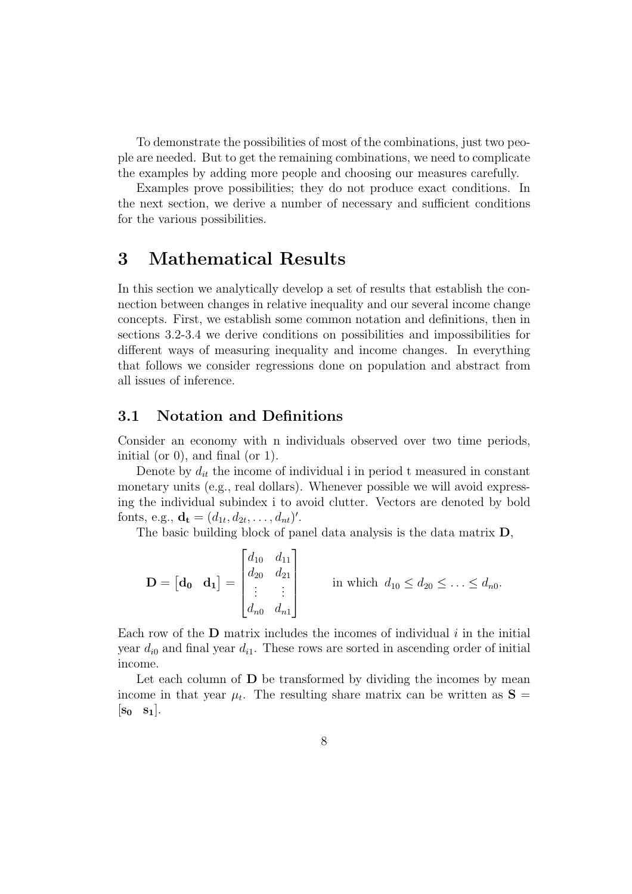To demonstrate the possibilities of most of the combinations, just two people are needed. But to get the remaining combinations, we need to complicate the examples by adding more people and choosing our measures carefully.

Examples prove possibilities; they do not produce exact conditions. In the next section, we derive a number of necessary and sufficient conditions for the various possibilities.

# 3 Mathematical Results

In this section we analytically develop a set of results that establish the connection between changes in relative inequality and our several income change concepts. First, we establish some common notation and definitions, then in sections 3.2-3.4 we derive conditions on possibilities and impossibilities for different ways of measuring inequality and income changes. In everything that follows we consider regressions done on population and abstract from all issues of inference.

# 3.1 Notation and Definitions

Consider an economy with n individuals observed over two time periods, initial (or 0), and final (or 1).

Denote by  $d_{it}$  the income of individual i in period t measured in constant monetary units (e.g., real dollars). Whenever possible we will avoid expressing the individual subindex i to avoid clutter. Vectors are denoted by bold fonts, e.g.,  $\mathbf{d_t} = (d_{1t}, d_{2t}, \dots, d_{nt})'$ .

The basic building block of panel data analysis is the data matrix D,

$$
\mathbf{D} = \begin{bmatrix} \mathbf{d_0} & \mathbf{d_1} \end{bmatrix} = \begin{bmatrix} d_{10} & d_{11} \\ d_{20} & d_{21} \\ \vdots & \vdots \\ d_{n0} & d_{n1} \end{bmatrix} \qquad \text{in which } d_{10} \leq d_{20} \leq \ldots \leq d_{n0}.
$$

Each row of the  **matrix includes the incomes of individual**  $i$  **in the initial** year  $d_{i0}$  and final year  $d_{i1}$ . These rows are sorted in ascending order of initial income.

Let each column of  **be transformed by dividing the incomes by mean** income in that year  $\mu_t$ . The resulting share matrix can be written as  $S =$  $|\mathbf{s_0} \ \mathbf{s_1}|.$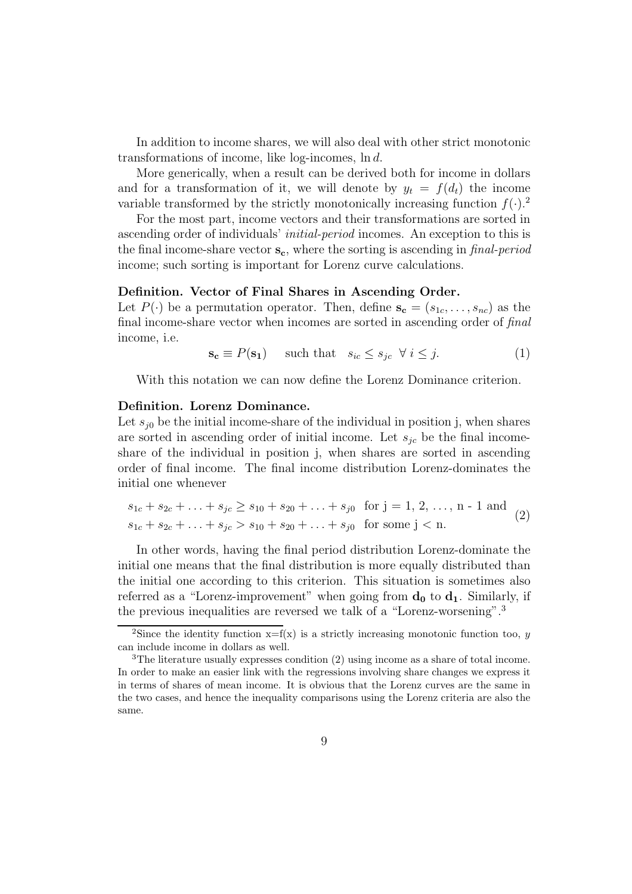In addition to income shares, we will also deal with other strict monotonic transformations of income, like log-incomes, ln d.

More generically, when a result can be derived both for income in dollars and for a transformation of it, we will denote by  $y_t = f(d_t)$  the income variable transformed by the strictly monotonically increasing function  $f(.)^2$ .

For the most part, income vectors and their transformations are sorted in ascending order of individuals' initial-period incomes. An exception to this is the final income-share vector  $s_c$ , where the sorting is ascending in *final-period* income; such sorting is important for Lorenz curve calculations.

#### Definition. Vector of Final Shares in Ascending Order.

Let  $P(\cdot)$  be a permutation operator. Then, define  $\mathbf{s_c} = (s_{1c}, \ldots, s_{nc})$  as the final income-share vector when incomes are sorted in ascending order of final income, i.e.

$$
\mathbf{s}_{\mathbf{c}} \equiv P(\mathbf{s}_{1}) \quad \text{such that} \quad s_{ic} \leq s_{jc} \ \forall \ i \leq j. \tag{1}
$$

With this notation we can now define the Lorenz Dominance criterion.

#### Definition. Lorenz Dominance.

Let  $s_{i0}$  be the initial income-share of the individual in position j, when shares are sorted in ascending order of initial income. Let  $s_{ic}$  be the final incomeshare of the individual in position j, when shares are sorted in ascending order of final income. The final income distribution Lorenz-dominates the initial one whenever

$$
s_{1c} + s_{2c} + \ldots + s_{jc} \ge s_{10} + s_{20} + \ldots + s_{j0} \text{ for } j = 1, 2, \ldots, n - 1 \text{ and } s_{1c} + s_{2c} + \ldots + s_{jc} > s_{10} + s_{20} + \ldots + s_{j0} \text{ for some } j < n.
$$
 (2)

In other words, having the final period distribution Lorenz-dominate the initial one means that the final distribution is more equally distributed than the initial one according to this criterion. This situation is sometimes also referred as a "Lorenz-improvement" when going from  $\mathbf{d}_0$  to  $\mathbf{d}_1$ . Similarly, if the previous inequalities are reversed we talk of a "Lorenz-worsening".<sup>3</sup>

<sup>&</sup>lt;sup>2</sup>Since the identity function  $x=f(x)$  is a strictly increasing monotonic function too, y can include income in dollars as well.

<sup>3</sup>The literature usually expresses condition (2) using income as a share of total income. In order to make an easier link with the regressions involving share changes we express it in terms of shares of mean income. It is obvious that the Lorenz curves are the same in the two cases, and hence the inequality comparisons using the Lorenz criteria are also the same.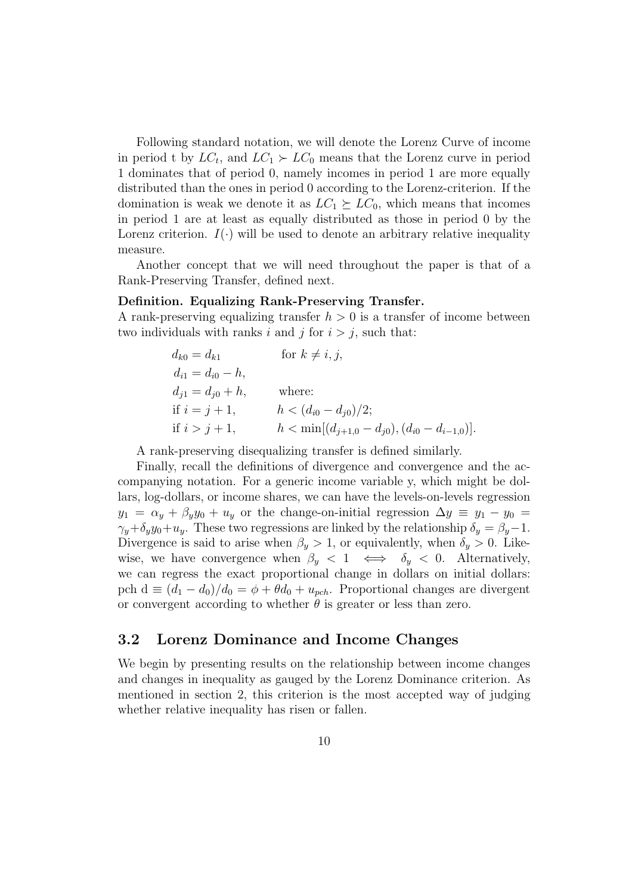Following standard notation, we will denote the Lorenz Curve of income in period t by  $LC_t$ , and  $LC_1 \succ LC_0$  means that the Lorenz curve in period 1 dominates that of period 0, namely incomes in period 1 are more equally distributed than the ones in period 0 according to the Lorenz-criterion. If the domination is weak we denote it as  $LC_1 \succeq LC_0$ , which means that incomes in period 1 are at least as equally distributed as those in period 0 by the Lorenz criterion.  $I(\cdot)$  will be used to denote an arbitrary relative inequality measure.

Another concept that we will need throughout the paper is that of a Rank-Preserving Transfer, defined next.

#### Definition. Equalizing Rank-Preserving Transfer.

A rank-preserving equalizing transfer  $h > 0$  is a transfer of income between two individuals with ranks i and j for  $i > j$ , such that:

$$
d_{k0} = d_{k1} \qquad \text{for } k \neq i, j,
$$
  
\n
$$
d_{i1} = d_{i0} - h,
$$
  
\n
$$
d_{j1} = d_{j0} + h,
$$
 where:  
\nif  $i = j + 1$ ,  $h < (d_{i0} - d_{j0})/2;$   
\nif  $i > j + 1$ ,  $h < \min[(d_{j+1,0} - d_{j0}), (d_{i0} - d_{i-1,0})].$ 

A rank-preserving disequalizing transfer is defined similarly.

Finally, recall the definitions of divergence and convergence and the accompanying notation. For a generic income variable y, which might be dollars, log-dollars, or income shares, we can have the levels-on-levels regression  $y_1 = \alpha_y + \beta_y y_0 + u_y$  or the change-on-initial regression  $\Delta y \equiv y_1 - y_0 =$  $\gamma_y + \delta_y y_0 + u_y$ . These two regressions are linked by the relationship  $\delta_y = \beta_y - 1$ . Divergence is said to arise when  $\beta_y > 1$ , or equivalently, when  $\delta_y > 0$ . Likewise, we have convergence when  $\beta_y < 1 \iff \delta_y < 0$ . Alternatively, we can regress the exact proportional change in dollars on initial dollars: pch  $d \equiv (d_1 - d_0)/d_0 = \phi + \theta d_0 + u_{\text{peh}}$ . Proportional changes are divergent or convergent according to whether  $\theta$  is greater or less than zero.

# 3.2 Lorenz Dominance and Income Changes

We begin by presenting results on the relationship between income changes and changes in inequality as gauged by the Lorenz Dominance criterion. As mentioned in section 2, this criterion is the most accepted way of judging whether relative inequality has risen or fallen.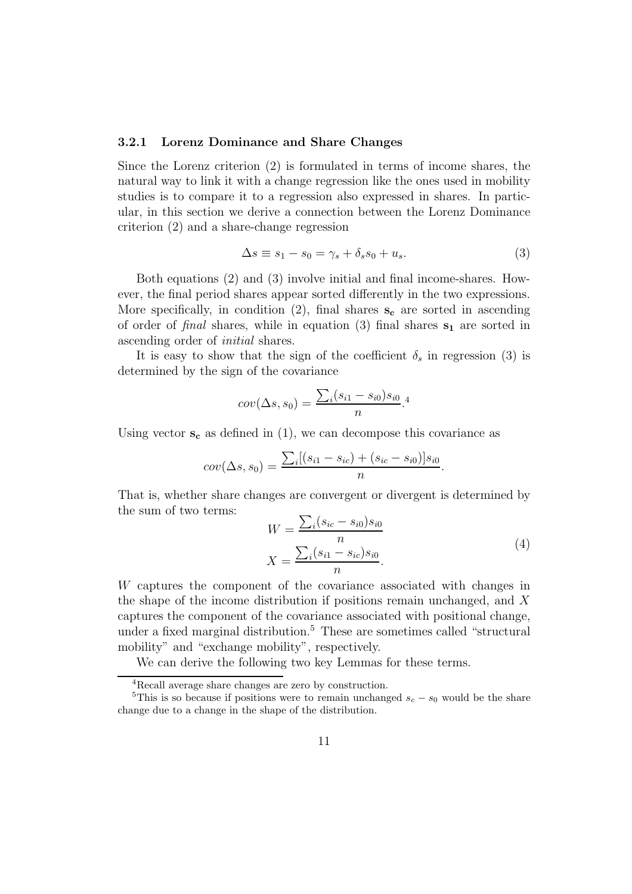#### 3.2.1 Lorenz Dominance and Share Changes

Since the Lorenz criterion (2) is formulated in terms of income shares, the natural way to link it with a change regression like the ones used in mobility studies is to compare it to a regression also expressed in shares. In particular, in this section we derive a connection between the Lorenz Dominance criterion (2) and a share-change regression

$$
\Delta s \equiv s_1 - s_0 = \gamma_s + \delta_s s_0 + u_s. \tag{3}
$$

Both equations (2) and (3) involve initial and final income-shares. However, the final period shares appear sorted differently in the two expressions. More specifically, in condition (2), final shares  $s_c$  are sorted in ascending of order of final shares, while in equation (3) final shares  $s_1$  are sorted in ascending order of initial shares.

It is easy to show that the sign of the coefficient  $\delta_s$  in regression (3) is determined by the sign of the covariance

$$
cov(\Delta s, s_0) = \frac{\sum_{i}(s_{i1} - s_{i0})s_{i0}}{n}.
$$

Using vector  $s_c$  as defined in (1), we can decompose this covariance as

$$
cov(\Delta s, s_0) = \frac{\sum_i [(s_{i1} - s_{ic}) + (s_{ic} - s_{i0})]s_{i0}}{n}.
$$

That is, whether share changes are convergent or divergent is determined by the sum of two terms:

$$
W = \frac{\sum_{i}(s_{ic} - s_{i0})s_{i0}}{n}
$$
  

$$
X = \frac{\sum_{i}(s_{i1} - s_{ic})s_{i0}}{n}.
$$
 (4)

W captures the component of the covariance associated with changes in the shape of the income distribution if positions remain unchanged, and X captures the component of the covariance associated with positional change, under a fixed marginal distribution.<sup>5</sup> These are sometimes called "structural mobility" and "exchange mobility", respectively.

We can derive the following two key Lemmas for these terms.

<sup>4</sup>Recall average share changes are zero by construction.

<sup>&</sup>lt;sup>5</sup>This is so because if positions were to remain unchanged  $s_c - s_0$  would be the share change due to a change in the shape of the distribution.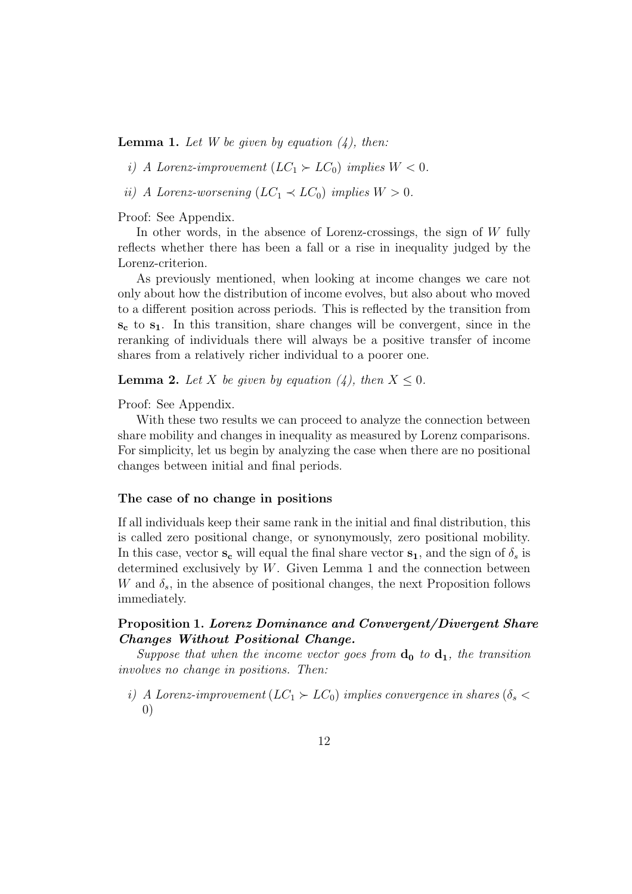**Lemma 1.** Let W be given by equation  $(4)$ , then:

i) A Lorenz-improvement  $(LC_1 \succ LC_0)$  implies  $W < 0$ .

ii) A Lorenz-worsening  $(LC_1 \prec LC_0)$  implies  $W > 0$ .

Proof: See Appendix.

In other words, in the absence of Lorenz-crossings, the sign of  $W$  fully reflects whether there has been a fall or a rise in inequality judged by the Lorenz-criterion.

As previously mentioned, when looking at income changes we care not only about how the distribution of income evolves, but also about who moved to a different position across periods. This is reflected by the transition from  $s_c$  to  $s_1$ . In this transition, share changes will be convergent, since in the reranking of individuals there will always be a positive transfer of income shares from a relatively richer individual to a poorer one.

**Lemma 2.** Let X be given by equation (4), then  $X \leq 0$ .

Proof: See Appendix.

With these two results we can proceed to analyze the connection between share mobility and changes in inequality as measured by Lorenz comparisons. For simplicity, let us begin by analyzing the case when there are no positional changes between initial and final periods.

#### The case of no change in positions

If all individuals keep their same rank in the initial and final distribution, this is called zero positional change, or synonymously, zero positional mobility. In this case, vector  $s_c$  will equal the final share vector  $s_1$ , and the sign of  $\delta_s$  is determined exclusively by  $W$ . Given Lemma 1 and the connection between W and  $\delta_s$ , in the absence of positional changes, the next Proposition follows immediately.

### Proposition 1. Lorenz Dominance and Convergent/Divergent Share Changes Without Positional Change.

Suppose that when the income vector goes from  $d_0$  to  $d_1$ , the transition involves no change in positions. Then:

i) A Lorenz-improvement  $(LC_1 \succ LC_0)$  implies convergence in shares  $(\delta_s$ 0)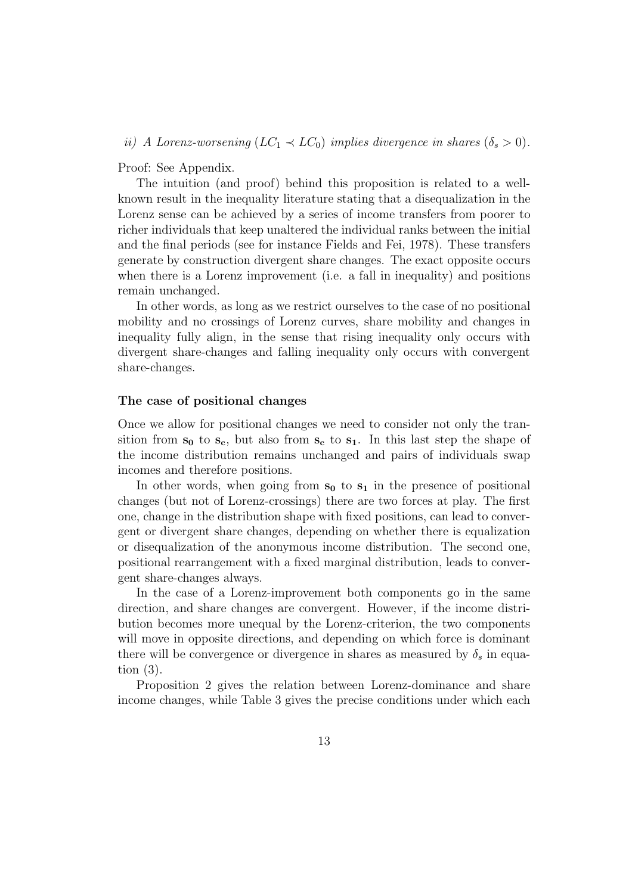ii) A Lorenz-worsening  $(LC_1 \prec LC_0)$  implies divergence in shares  $(\delta_s > 0)$ .

Proof: See Appendix.

The intuition (and proof) behind this proposition is related to a wellknown result in the inequality literature stating that a disequalization in the Lorenz sense can be achieved by a series of income transfers from poorer to richer individuals that keep unaltered the individual ranks between the initial and the final periods (see for instance Fields and Fei, 1978). These transfers generate by construction divergent share changes. The exact opposite occurs when there is a Lorenz improvement (i.e. a fall in inequality) and positions remain unchanged.

In other words, as long as we restrict ourselves to the case of no positional mobility and no crossings of Lorenz curves, share mobility and changes in inequality fully align, in the sense that rising inequality only occurs with divergent share-changes and falling inequality only occurs with convergent share-changes.

### The case of positional changes

Once we allow for positional changes we need to consider not only the transition from  $s_0$  to  $s_c$ , but also from  $s_c$  to  $s_1$ . In this last step the shape of the income distribution remains unchanged and pairs of individuals swap incomes and therefore positions.

In other words, when going from  $s_0$  to  $s_1$  in the presence of positional changes (but not of Lorenz-crossings) there are two forces at play. The first one, change in the distribution shape with fixed positions, can lead to convergent or divergent share changes, depending on whether there is equalization or disequalization of the anonymous income distribution. The second one, positional rearrangement with a fixed marginal distribution, leads to convergent share-changes always.

In the case of a Lorenz-improvement both components go in the same direction, and share changes are convergent. However, if the income distribution becomes more unequal by the Lorenz-criterion, the two components will move in opposite directions, and depending on which force is dominant there will be convergence or divergence in shares as measured by  $\delta_s$  in equation (3).

Proposition 2 gives the relation between Lorenz-dominance and share income changes, while Table 3 gives the precise conditions under which each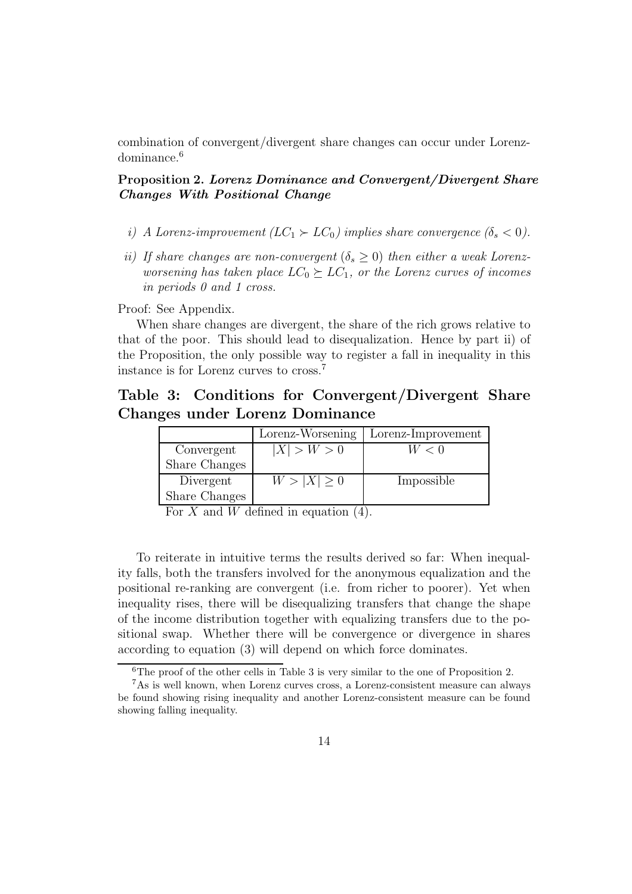combination of convergent/divergent share changes can occur under Lorenzdominance.<sup>6</sup>

# Proposition 2. Lorenz Dominance and Convergent/Divergent Share Changes With Positional Change

- i) A Lorenz-improvement  $(LC_1 \succ LC_0)$  implies share convergence  $(\delta_s < 0)$ .
- ii) If share changes are non-convergent  $(\delta_s \geq 0)$  then either a weak Lorenzworsening has taken place  $LC_0 \succeq LC_1$ , or the Lorenz curves of incomes in periods 0 and 1 cross.

Proof: See Appendix.

When share changes are divergent, the share of the rich grows relative to that of the poor. This should lead to disequalization. Hence by part ii) of the Proposition, the only possible way to register a fall in inequality in this instance is for Lorenz curves to cross.<sup>7</sup>

# Table 3: Conditions for Convergent/Divergent Share Changes under Lorenz Dominance

|               | Lorenz-Worsening | Lorenz-Improvement |
|---------------|------------------|--------------------|
| Convergent    | X  > W > 0       | W<0                |
| Share Changes |                  |                    |
| Divergent     | $W >  X  \geq 0$ | Impossible         |
| Share Changes |                  |                    |

For X and W defined in equation  $(4)$ .

To reiterate in intuitive terms the results derived so far: When inequality falls, both the transfers involved for the anonymous equalization and the positional re-ranking are convergent (i.e. from richer to poorer). Yet when inequality rises, there will be disequalizing transfers that change the shape of the income distribution together with equalizing transfers due to the positional swap. Whether there will be convergence or divergence in shares according to equation (3) will depend on which force dominates.

 ${}^{6}$ The proof of the other cells in Table 3 is very similar to the one of Proposition 2.

<sup>7</sup>As is well known, when Lorenz curves cross, a Lorenz-consistent measure can always be found showing rising inequality and another Lorenz-consistent measure can be found showing falling inequality.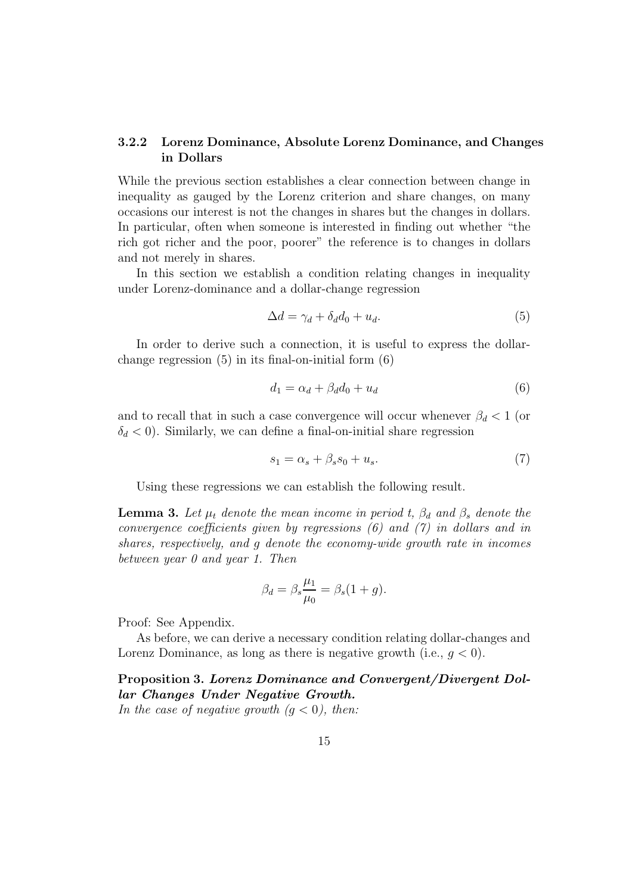### 3.2.2 Lorenz Dominance, Absolute Lorenz Dominance, and Changes in Dollars

While the previous section establishes a clear connection between change in inequality as gauged by the Lorenz criterion and share changes, on many occasions our interest is not the changes in shares but the changes in dollars. In particular, often when someone is interested in finding out whether "the rich got richer and the poor, poorer" the reference is to changes in dollars and not merely in shares.

In this section we establish a condition relating changes in inequality under Lorenz-dominance and a dollar-change regression

$$
\Delta d = \gamma_d + \delta_d d_0 + u_d. \tag{5}
$$

In order to derive such a connection, it is useful to express the dollarchange regression (5) in its final-on-initial form (6)

$$
d_1 = \alpha_d + \beta_d d_0 + u_d \tag{6}
$$

and to recall that in such a case convergence will occur whenever  $\beta_d < 1$  (or  $\delta_d$  < 0). Similarly, we can define a final-on-initial share regression

$$
s_1 = \alpha_s + \beta_s s_0 + u_s. \tag{7}
$$

Using these regressions we can establish the following result.

**Lemma 3.** Let  $\mu_t$  denote the mean income in period t,  $\beta_d$  and  $\beta_s$  denote the convergence coefficients given by regressions (6) and (7) in dollars and in shares, respectively, and g denote the economy-wide growth rate in incomes between year 0 and year 1. Then

$$
\beta_d = \beta_s \frac{\mu_1}{\mu_0} = \beta_s (1+g).
$$

Proof: See Appendix.

As before, we can derive a necessary condition relating dollar-changes and Lorenz Dominance, as long as there is negative growth (i.e.,  $g < 0$ ).

Proposition 3. Lorenz Dominance and Convergent/Divergent Dollar Changes Under Negative Growth.

In the case of negative growth  $(g < 0)$ , then: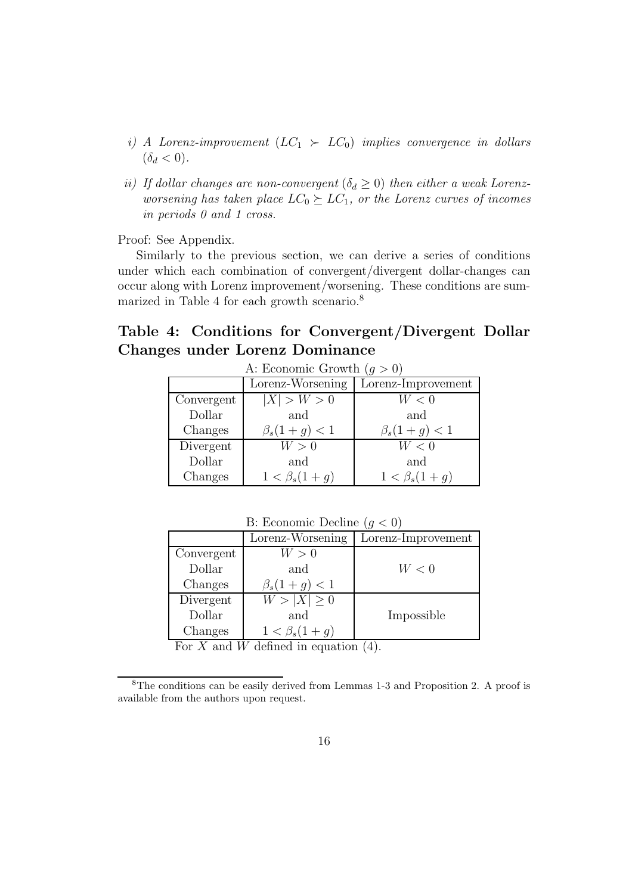- i) A Lorenz-improvement  $(LC_1 \succ LC_0)$  implies convergence in dollars  $(\delta_d < 0).$
- ii) If dollar changes are non-convergent  $(\delta_d \geq 0)$  then either a weak Lorenzworsening has taken place  $LC_0 \succeq LC_1$ , or the Lorenz curves of incomes in periods 0 and 1 cross.

Proof: See Appendix.

Similarly to the previous section, we can derive a series of conditions under which each combination of convergent/divergent dollar-changes can occur along with Lorenz improvement/worsening. These conditions are summarized in Table 4 for each growth scenario.<sup>8</sup>

# Table 4: Conditions for Convergent/Divergent Dollar Changes under Lorenz Dominance

| A: Economic Growth $(g > 0)$ |                    |                      |  |
|------------------------------|--------------------|----------------------|--|
| Lorenz-Worsening             |                    | Lorenz-Improvement   |  |
| Convergent                   | X  > W > 0         | W<0                  |  |
| Dollar                       | and                | and                  |  |
| Changes                      | $\beta_s(1+g) < 1$ | $\beta_s(1+g) < 1$   |  |
| Divergent                    | W>0                | W<0                  |  |
| Dollar                       | and                | and                  |  |
| Changes                      | $1 < \beta_s(1+g)$ | $1 < \beta_s(1 + g)$ |  |

| B: Economic Decline $(q < 0)$ |                             |                    |  |
|-------------------------------|-----------------------------|--------------------|--|
|                               | Lorenz-Worsening            | Lorenz-Improvement |  |
| Convergent                    | W>0                         |                    |  |
| Dollar                        | and                         | W<0                |  |
| Changes                       | $\beta_s(1+g) < 1$          |                    |  |
| Divergent                     | $W >  \overline{X}  \geq 0$ |                    |  |
| Dollar                        | and                         | Impossible         |  |
| Changes                       | $1 < \beta_s(1+g)$          |                    |  |

For X and W defined in equation  $(4)$ .

<sup>&</sup>lt;sup>8</sup>The conditions can be easily derived from Lemmas 1-3 and Proposition 2. A proof is available from the authors upon request.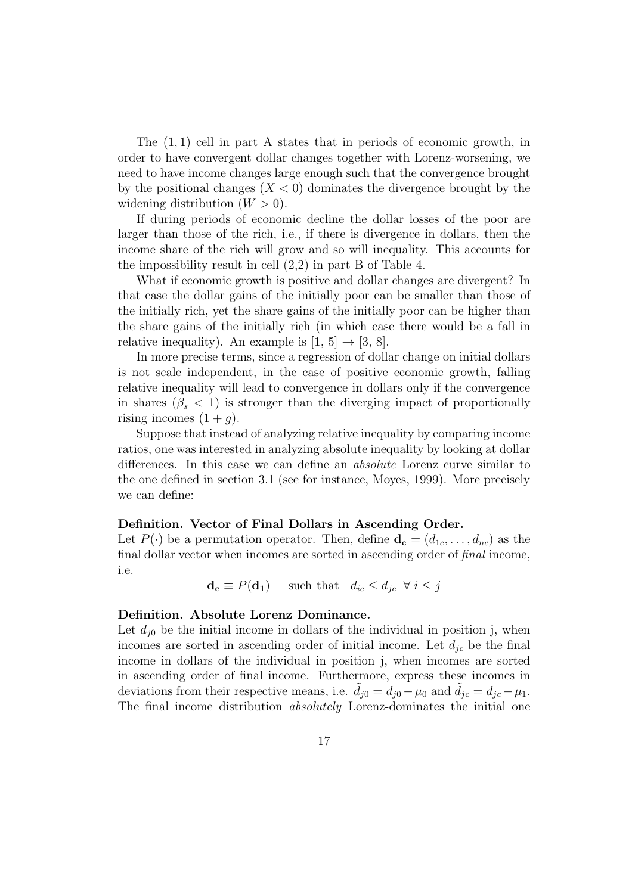The  $(1, 1)$  cell in part A states that in periods of economic growth, in order to have convergent dollar changes together with Lorenz-worsening, we need to have income changes large enough such that the convergence brought by the positional changes  $(X < 0)$  dominates the divergence brought by the widening distribution  $(W > 0)$ .

If during periods of economic decline the dollar losses of the poor are larger than those of the rich, i.e., if there is divergence in dollars, then the income share of the rich will grow and so will inequality. This accounts for the impossibility result in cell (2,2) in part B of Table 4.

What if economic growth is positive and dollar changes are divergent? In that case the dollar gains of the initially poor can be smaller than those of the initially rich, yet the share gains of the initially poor can be higher than the share gains of the initially rich (in which case there would be a fall in relative inequality). An example is  $[1, 5] \rightarrow [3, 8]$ .

In more precise terms, since a regression of dollar change on initial dollars is not scale independent, in the case of positive economic growth, falling relative inequality will lead to convergence in dollars only if the convergence in shares  $(\beta_s < 1)$  is stronger than the diverging impact of proportionally rising incomes  $(1+q)$ .

Suppose that instead of analyzing relative inequality by comparing income ratios, one was interested in analyzing absolute inequality by looking at dollar differences. In this case we can define an absolute Lorenz curve similar to the one defined in section 3.1 (see for instance, Moyes, 1999). More precisely we can define:

#### Definition. Vector of Final Dollars in Ascending Order.

Let  $P(\cdot)$  be a permutation operator. Then, define  $\mathbf{d_c} = (d_{1c}, \ldots, d_{nc})$  as the final dollar vector when incomes are sorted in ascending order of final income, i.e.

 $\mathbf{d_c} \equiv P(\mathbf{d_1})$  such that  $d_{ic} \leq d_{ic} \ \forall i \leq j$ 

#### Definition. Absolute Lorenz Dominance.

Let  $d_{i0}$  be the initial income in dollars of the individual in position j, when incomes are sorted in ascending order of initial income. Let  $d_{ic}$  be the final income in dollars of the individual in position j, when incomes are sorted in ascending order of final income. Furthermore, express these incomes in deviations from their respective means, i.e.  $d_{j0} = d_{j0} - \mu_0$  and  $d_{jc} = d_{jc} - \mu_1$ . The final income distribution *absolutely* Lorenz-dominates the initial one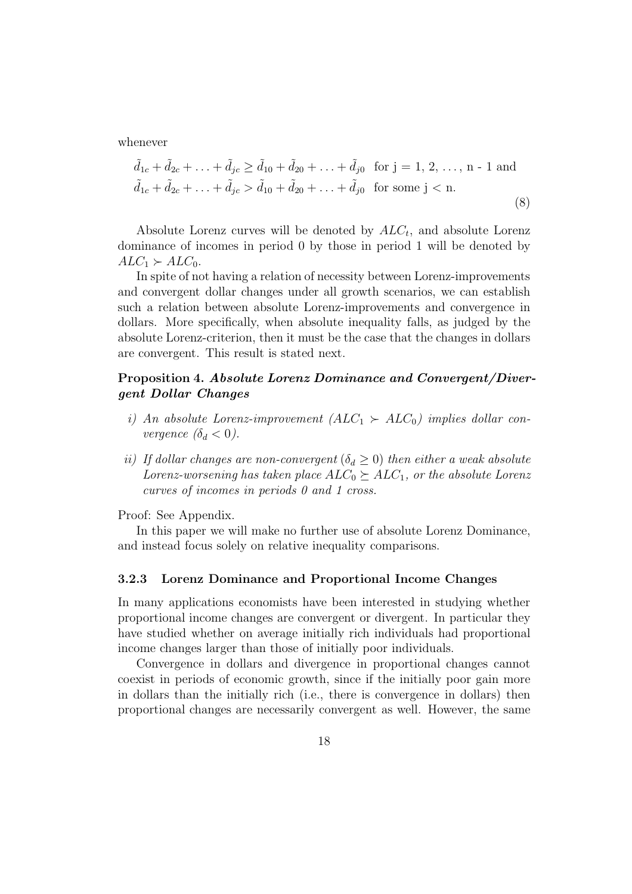whenever

$$
\tilde{d}_{1c} + \tilde{d}_{2c} + \ldots + \tilde{d}_{jc} \ge \tilde{d}_{10} + \tilde{d}_{20} + \ldots + \tilde{d}_{j0} \text{ for } j = 1, 2, \ldots, n - 1 \text{ and}
$$
  

$$
\tilde{d}_{1c} + \tilde{d}_{2c} + \ldots + \tilde{d}_{jc} > \tilde{d}_{10} + \tilde{d}_{20} + \ldots + \tilde{d}_{j0} \text{ for some } j < n.
$$
 (8)

Absolute Lorenz curves will be denoted by  $ALC_t$ , and absolute Lorenz dominance of incomes in period 0 by those in period 1 will be denoted by  $ALC_1 \succ ALC_0$ .

In spite of not having a relation of necessity between Lorenz-improvements and convergent dollar changes under all growth scenarios, we can establish such a relation between absolute Lorenz-improvements and convergence in dollars. More specifically, when absolute inequality falls, as judged by the absolute Lorenz-criterion, then it must be the case that the changes in dollars are convergent. This result is stated next.

### Proposition 4. Absolute Lorenz Dominance and Convergent/Divergent Dollar Changes

- i) An absolute Lorenz-improvement  $(ALC_1 \succ ALC_0)$  implies dollar convergence  $(\delta_d < 0)$ .
- ii) If dollar changes are non-convergent  $(\delta_d \geq 0)$  then either a weak absolute Lorenz-worsening has taken place  $ALC_0 \succeq ALC_1$ , or the absolute Lorenz curves of incomes in periods 0 and 1 cross.

Proof: See Appendix.

In this paper we will make no further use of absolute Lorenz Dominance, and instead focus solely on relative inequality comparisons.

### 3.2.3 Lorenz Dominance and Proportional Income Changes

In many applications economists have been interested in studying whether proportional income changes are convergent or divergent. In particular they have studied whether on average initially rich individuals had proportional income changes larger than those of initially poor individuals.

Convergence in dollars and divergence in proportional changes cannot coexist in periods of economic growth, since if the initially poor gain more in dollars than the initially rich (i.e., there is convergence in dollars) then proportional changes are necessarily convergent as well. However, the same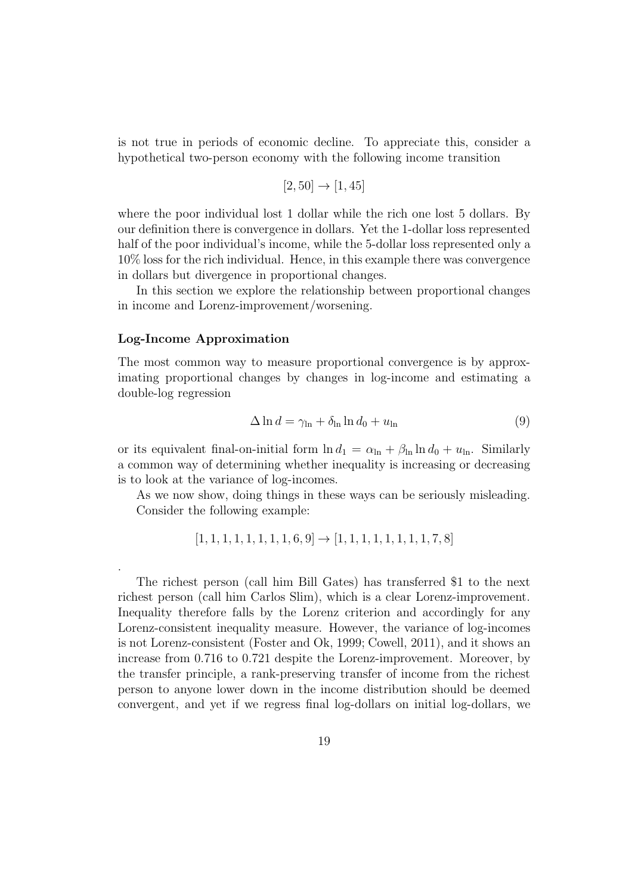is not true in periods of economic decline. To appreciate this, consider a hypothetical two-person economy with the following income transition

$$
[2, 50] \rightarrow [1, 45]
$$

where the poor individual lost 1 dollar while the rich one lost 5 dollars. By our definition there is convergence in dollars. Yet the 1-dollar loss represented half of the poor individual's income, while the 5-dollar loss represented only a 10% loss for the rich individual. Hence, in this example there was convergence in dollars but divergence in proportional changes.

In this section we explore the relationship between proportional changes in income and Lorenz-improvement/worsening.

#### Log-Income Approximation

.

The most common way to measure proportional convergence is by approximating proportional changes by changes in log-income and estimating a double-log regression

$$
\Delta \ln d = \gamma_{\ln} + \delta_{\ln} \ln d_0 + u_{\ln} \tag{9}
$$

or its equivalent final-on-initial form  $\ln d_1 = \alpha_{\ln} + \beta_{\ln} \ln d_0 + u_{\ln}$ . Similarly a common way of determining whether inequality is increasing or decreasing is to look at the variance of log-incomes.

As we now show, doing things in these ways can be seriously misleading. Consider the following example:

$$
[1, 1, 1, 1, 1, 1, 1, 1, 6, 9] \rightarrow [1, 1, 1, 1, 1, 1, 1, 1, 7, 8]
$$

The richest person (call him Bill Gates) has transferred \$1 to the next richest person (call him Carlos Slim), which is a clear Lorenz-improvement. Inequality therefore falls by the Lorenz criterion and accordingly for any Lorenz-consistent inequality measure. However, the variance of log-incomes is not Lorenz-consistent (Foster and Ok, 1999; Cowell, 2011), and it shows an increase from 0.716 to 0.721 despite the Lorenz-improvement. Moreover, by the transfer principle, a rank-preserving transfer of income from the richest person to anyone lower down in the income distribution should be deemed convergent, and yet if we regress final log-dollars on initial log-dollars, we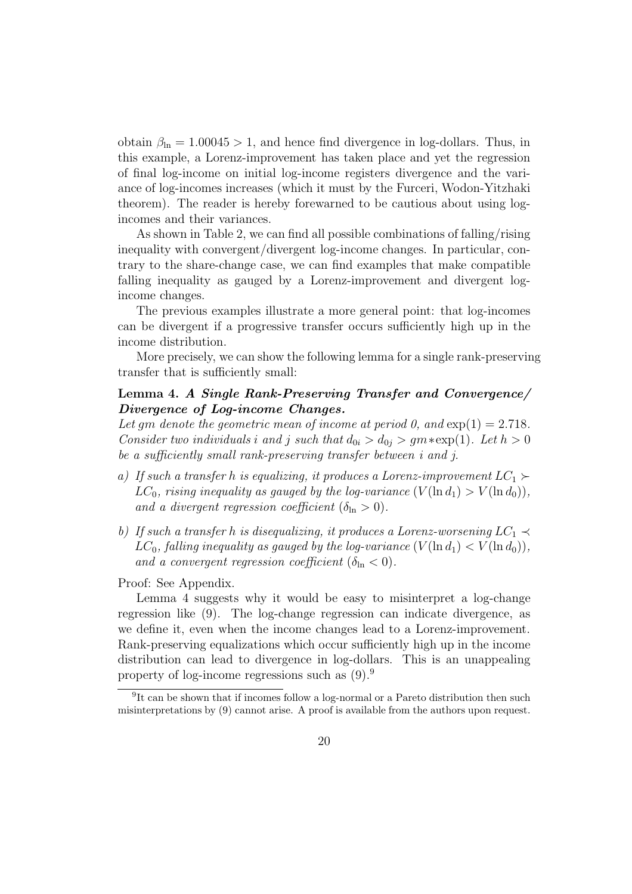obtain  $\beta_{\text{ln}} = 1.00045 > 1$ , and hence find divergence in log-dollars. Thus, in this example, a Lorenz-improvement has taken place and yet the regression of final log-income on initial log-income registers divergence and the variance of log-incomes increases (which it must by the Furceri, Wodon-Yitzhaki theorem). The reader is hereby forewarned to be cautious about using logincomes and their variances.

As shown in Table 2, we can find all possible combinations of falling/rising inequality with convergent/divergent log-income changes. In particular, contrary to the share-change case, we can find examples that make compatible falling inequality as gauged by a Lorenz-improvement and divergent logincome changes.

The previous examples illustrate a more general point: that log-incomes can be divergent if a progressive transfer occurs sufficiently high up in the income distribution.

More precisely, we can show the following lemma for a single rank-preserving transfer that is sufficiently small:

### Lemma 4. A Single Rank-Preserving Transfer and Convergence/ Divergence of Log-income Changes.

Let qm denote the geometric mean of income at period 0, and  $\exp(1) = 2.718$ . Consider two individuals i and j such that  $d_{0i} > d_{0j} > gm * \exp(1)$ . Let  $h > 0$ be a sufficiently small rank-preserving transfer between i and j.

- a) If such a transfer h is equalizing, it produces a Lorenz-improvement  $LC_1 \succ$  $LC_0$ , rising inequality as gauged by the log-variance  $(V(\ln d_1) > V(\ln d_0)),$ and a divergent regression coefficient  $(\delta_{\ln} > 0)$ .
- b) If such a transfer h is disequalizing, it produces a Lorenz-worsening  $LC_1 \prec$  $LC_0$ , falling inequality as gauged by the log-variance  $(V(\ln d_1) < V(\ln d_0)),$ and a convergent regression coefficient  $(\delta_{\ln} < 0)$ .

Proof: See Appendix.

Lemma 4 suggests why it would be easy to misinterpret a log-change regression like (9). The log-change regression can indicate divergence, as we define it, even when the income changes lead to a Lorenz-improvement. Rank-preserving equalizations which occur sufficiently high up in the income distribution can lead to divergence in log-dollars. This is an unappealing property of log-income regressions such as (9).<sup>9</sup>

<sup>&</sup>lt;sup>9</sup>It can be shown that if incomes follow a log-normal or a Pareto distribution then such misinterpretations by (9) cannot arise. A proof is available from the authors upon request.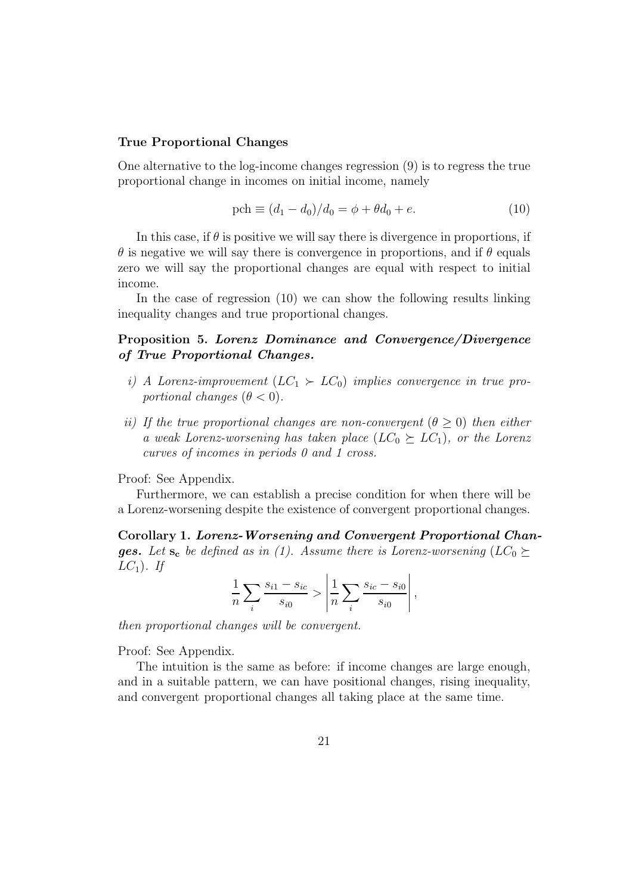#### True Proportional Changes

One alternative to the log-income changes regression (9) is to regress the true proportional change in incomes on initial income, namely

$$
\text{pch} \equiv (d_1 - d_0)/d_0 = \phi + \theta d_0 + e. \tag{10}
$$

In this case, if  $\theta$  is positive we will say there is divergence in proportions, if  $\theta$  is negative we will say there is convergence in proportions, and if  $\theta$  equals zero we will say the proportional changes are equal with respect to initial income.

In the case of regression (10) we can show the following results linking inequality changes and true proportional changes.

### Proposition 5. Lorenz Dominance and Convergence/Divergence of True Proportional Changes.

- i) A Lorenz-improvement  $(LC_1 \succ LC_0)$  implies convergence in true proportional changes  $(\theta < 0)$ .
- ii) If the true proportional changes are non-convergent  $(\theta \geq 0)$  then either a weak Lorenz-worsening has taken place  $(LC_0 \succeq LC_1)$ , or the Lorenz curves of incomes in periods 0 and 1 cross.

Proof: See Appendix.

Furthermore, we can establish a precise condition for when there will be a Lorenz-worsening despite the existence of convergent proportional changes.

Corollary 1. Lorenz-Worsening and Convergent Proportional Chan**ges.** Let  $s_c$  be defined as in (1). Assume there is Lorenz-worsening (LC<sub>0</sub> $\succeq$  $LC_1$ ). If

$$
\frac{1}{n} \sum_{i} \frac{s_{i1} - s_{ic}}{s_{i0}} > \left| \frac{1}{n} \sum_{i} \frac{s_{ic} - s_{i0}}{s_{i0}} \right|,
$$

then proportional changes will be convergent.

Proof: See Appendix.

The intuition is the same as before: if income changes are large enough, and in a suitable pattern, we can have positional changes, rising inequality, and convergent proportional changes all taking place at the same time.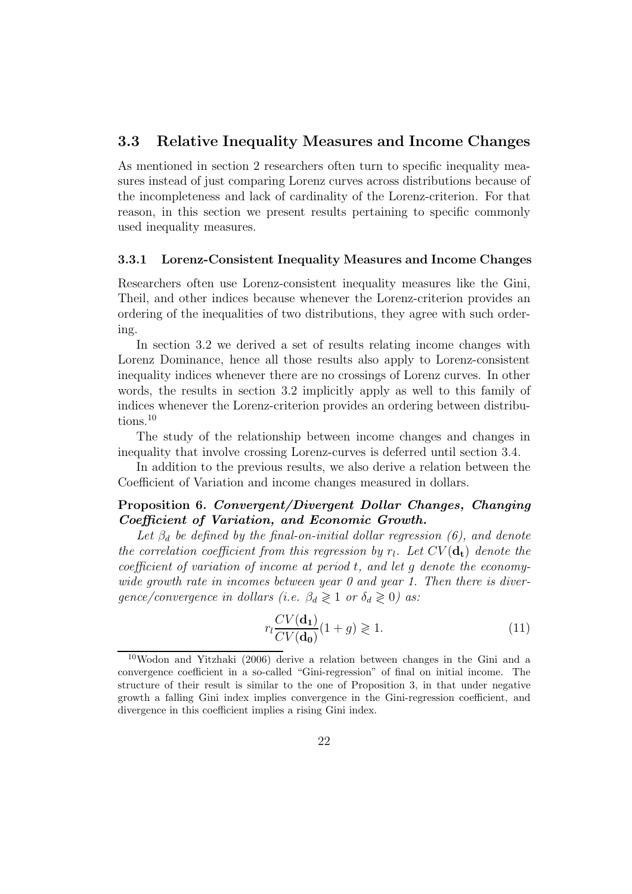# 3.3 Relative Inequality Measures and Income Changes

As mentioned in section 2 researchers often turn to specific inequality measures instead of just comparing Lorenz curves across distributions because of the incompleteness and lack of cardinality of the Lorenz-criterion. For that reason, in this section we present results pertaining to specific commonly used inequality measures.

#### 3.3.1 Lorenz-Consistent Inequality Measures and Income Changes

Researchers often use Lorenz-consistent inequality measures like the Gini, Theil, and other indices because whenever the Lorenz-criterion provides an ordering of the inequalities of two distributions, they agree with such ordering.

In section 3.2 we derived a set of results relating income changes with Lorenz Dominance, hence all those results also apply to Lorenz-consistent inequality indices whenever there are no crossings of Lorenz curves. In other words, the results in section 3.2 implicitly apply as well to this family of indices whenever the Lorenz-criterion provides an ordering between distributions.<sup>10</sup>

The study of the relationship between income changes and changes in inequality that involve crossing Lorenz-curves is deferred until section 3.4.

In addition to the previous results, we also derive a relation between the Coefficient of Variation and income changes measured in dollars.

## Proposition 6. Convergent/Divergent Dollar Changes, Changing Coefficient of Variation, and Economic Growth.

Let  $\beta_d$  be defined by the final-on-initial dollar regression (6), and denote the correlation coefficient from this regression by  $r_l$ . Let  $CV(\mathbf{d_t})$  denote the coefficient of variation of income at period t, and let g denote the economywide growth rate in incomes between year  $\theta$  and year 1. Then there is divergence/convergence in dollars (i.e.  $\beta_d \geq 1$  or  $\delta_d \geq 0$ ) as:

$$
r_l \frac{CV(\mathbf{d_1})}{CV(\mathbf{d_0})} (1+g) \geqslant 1.
$$
\n<sup>(11)</sup>

<sup>10</sup>Wodon and Yitzhaki (2006) derive a relation between changes in the Gini and a convergence coefficient in a so-called "Gini-regression" of final on initial income. The structure of their result is similar to the one of Proposition 3, in that under negative growth a falling Gini index implies convergence in the Gini-regression coefficient, and divergence in this coefficient implies a rising Gini index.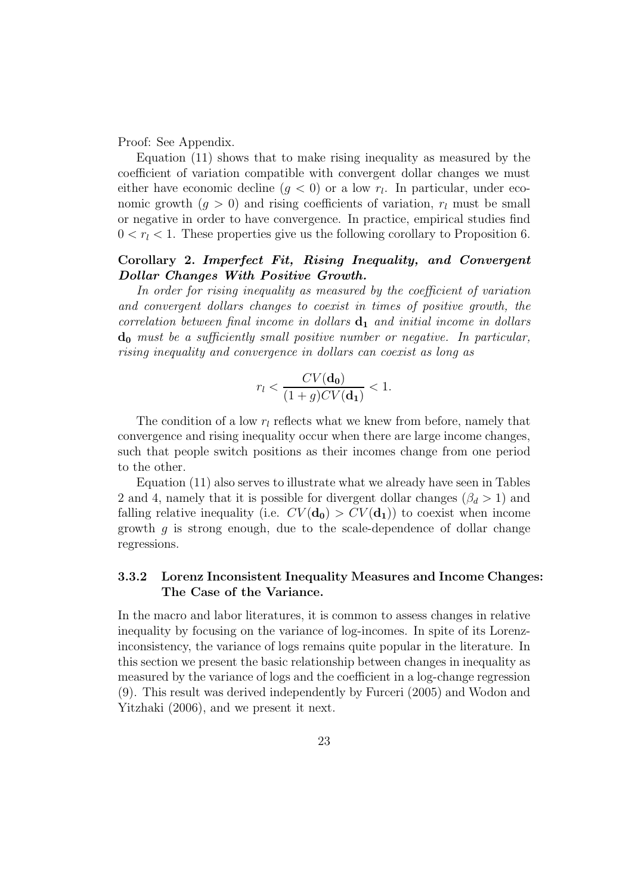Proof: See Appendix.

Equation (11) shows that to make rising inequality as measured by the coefficient of variation compatible with convergent dollar changes we must either have economic decline  $(g < 0)$  or a low  $r_l$ . In particular, under economic growth  $(q > 0)$  and rising coefficients of variation,  $r_l$  must be small or negative in order to have convergence. In practice, empirical studies find  $0 < r<sub>l</sub> < 1$ . These properties give us the following corollary to Proposition 6.

### Corollary 2. Imperfect Fit, Rising Inequality, and Convergent Dollar Changes With Positive Growth.

In order for rising inequality as measured by the coefficient of variation and convergent dollars changes to coexist in times of positive growth, the correlation between final income in dollars  $\mathbf{d}_1$  and initial income in dollars  $d_0$  must be a sufficiently small positive number or negative. In particular, rising inequality and convergence in dollars can coexist as long as

$$
r_l < \frac{CV(\mathbf{d_0})}{(1+g)CV(\mathbf{d_1})} < 1.
$$

The condition of a low  $r_l$  reflects what we knew from before, namely that convergence and rising inequality occur when there are large income changes, such that people switch positions as their incomes change from one period to the other.

Equation (11) also serves to illustrate what we already have seen in Tables 2 and 4, namely that it is possible for divergent dollar changes ( $\beta_d > 1$ ) and falling relative inequality (i.e.  $CV(\mathbf{d_0}) > CV(\mathbf{d_1})$ ) to coexist when income growth  $q$  is strong enough, due to the scale-dependence of dollar change regressions.

### 3.3.2 Lorenz Inconsistent Inequality Measures and Income Changes: The Case of the Variance.

In the macro and labor literatures, it is common to assess changes in relative inequality by focusing on the variance of log-incomes. In spite of its Lorenzinconsistency, the variance of logs remains quite popular in the literature. In this section we present the basic relationship between changes in inequality as measured by the variance of logs and the coefficient in a log-change regression (9). This result was derived independently by Furceri (2005) and Wodon and Yitzhaki (2006), and we present it next.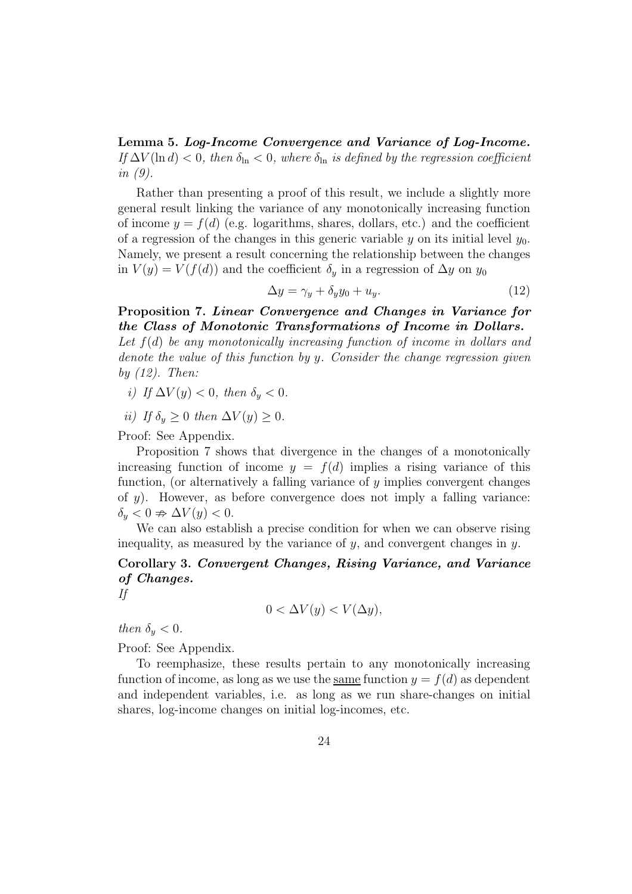Lemma 5. Log-Income Convergence and Variance of Log-Income. If  $\Delta V(\ln d) < 0$ , then  $\delta_{\ln} < 0$ , where  $\delta_{\ln}$  is defined by the regression coefficient in (9).

Rather than presenting a proof of this result, we include a slightly more general result linking the variance of any monotonically increasing function of income  $y = f(d)$  (e.g. logarithms, shares, dollars, etc.) and the coefficient of a regression of the changes in this generic variable y on its initial level  $y_0$ . Namely, we present a result concerning the relationship between the changes in  $V(y) = V(f(d))$  and the coefficient  $\delta_y$  in a regression of  $\Delta y$  on  $y_0$ 

$$
\Delta y = \gamma_y + \delta_y y_0 + u_y. \tag{12}
$$

Proposition 7. Linear Convergence and Changes in Variance for the Class of Monotonic Transformations of Income in Dollars.

Let  $f(d)$  be any monotonically increasing function of income in dollars and denote the value of this function by y. Consider the change regression given by  $(12)$ . Then:

- i) If  $\Delta V(y) < 0$ , then  $\delta_y < 0$ .
- ii) If  $\delta_y \geq 0$  then  $\Delta V(y) \geq 0$ .

Proof: See Appendix.

Proposition 7 shows that divergence in the changes of a monotonically increasing function of income  $y = f(d)$  implies a rising variance of this function, (or alternatively a falling variance of  $\eta$  implies convergent changes of  $y$ ). However, as before convergence does not imply a falling variance:  $\delta_y < 0 \Rightarrow \Delta V(y) < 0.$ 

We can also establish a precise condition for when we can observe rising inequality, as measured by the variance of  $y$ , and convergent changes in  $y$ .

Corollary 3. Convergent Changes, Rising Variance, and Variance of Changes.

If

$$
0 < \Delta V(y) < V(\Delta y),
$$

then  $\delta_y < 0$ .

Proof: See Appendix.

To reemphasize, these results pertain to any monotonically increasing function of income, as long as we use the same function  $y = f(d)$  as dependent and independent variables, i.e. as long as we run share-changes on initial shares, log-income changes on initial log-incomes, etc.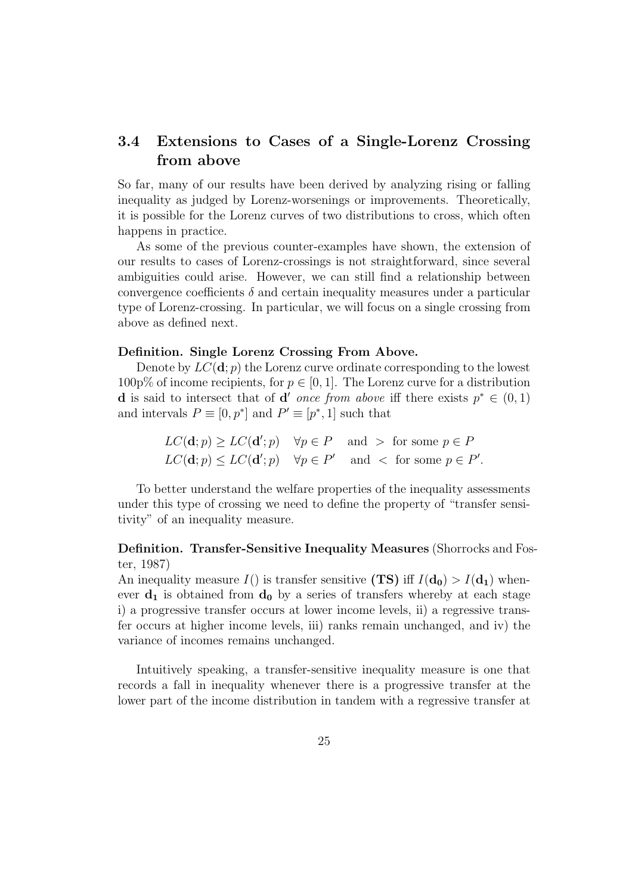# 3.4 Extensions to Cases of a Single-Lorenz Crossing from above

So far, many of our results have been derived by analyzing rising or falling inequality as judged by Lorenz-worsenings or improvements. Theoretically, it is possible for the Lorenz curves of two distributions to cross, which often happens in practice.

As some of the previous counter-examples have shown, the extension of our results to cases of Lorenz-crossings is not straightforward, since several ambiguities could arise. However, we can still find a relationship between convergence coefficients  $\delta$  and certain inequality measures under a particular type of Lorenz-crossing. In particular, we will focus on a single crossing from above as defined next.

#### Definition. Single Lorenz Crossing From Above.

Denote by  $LC(\mathbf{d}; p)$  the Lorenz curve ordinate corresponding to the lowest 100p% of income recipients, for  $p \in [0, 1]$ . The Lorenz curve for a distribution **d** is said to intersect that of **d'** once from above iff there exists  $p^* \in (0,1)$ and intervals  $P \equiv [0, p^*]$  and  $P' \equiv [p^*, 1]$  such that

$$
LC(\mathbf{d}; p) \ge LC(\mathbf{d}'; p) \quad \forall p \in P \quad \text{and} \quad \text{for some } p \in P
$$
\n
$$
LC(\mathbf{d}; p) \le LC(\mathbf{d}'; p) \quad \forall p \in P' \quad \text{and} \quad \text{for some } p \in P'.
$$

To better understand the welfare properties of the inequality assessments under this type of crossing we need to define the property of "transfer sensitivity" of an inequality measure.

## Definition. Transfer-Sensitive Inequality Measures (Shorrocks and Foster, 1987)

An inequality measure  $I()$  is transfer sensitive (TS) iff  $I(d_0) > I(d_1)$  whenever  $\mathbf{d}_1$  is obtained from  $\mathbf{d}_0$  by a series of transfers whereby at each stage i) a progressive transfer occurs at lower income levels, ii) a regressive transfer occurs at higher income levels, iii) ranks remain unchanged, and iv) the variance of incomes remains unchanged.

Intuitively speaking, a transfer-sensitive inequality measure is one that records a fall in inequality whenever there is a progressive transfer at the lower part of the income distribution in tandem with a regressive transfer at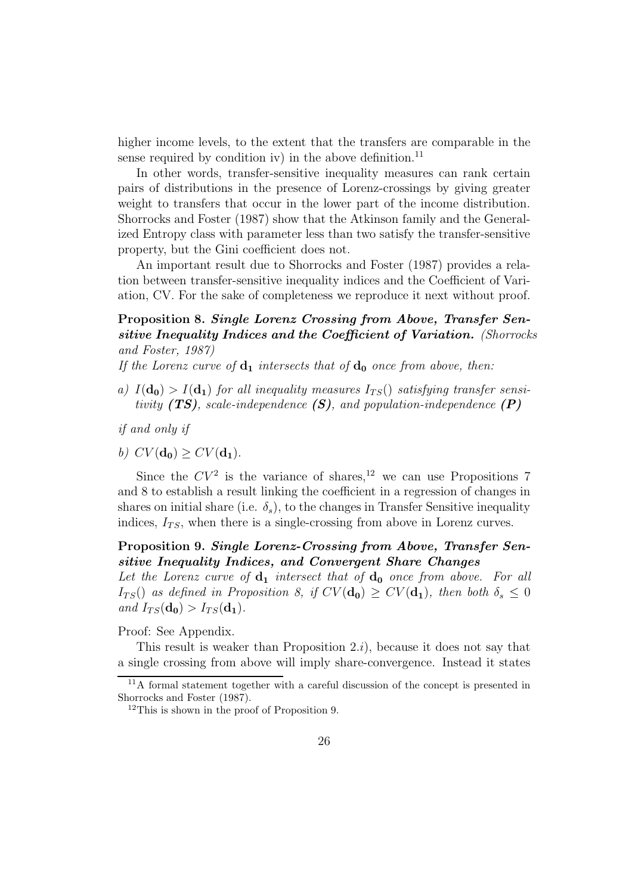higher income levels, to the extent that the transfers are comparable in the sense required by condition iv) in the above definition.<sup>11</sup>

In other words, transfer-sensitive inequality measures can rank certain pairs of distributions in the presence of Lorenz-crossings by giving greater weight to transfers that occur in the lower part of the income distribution. Shorrocks and Foster (1987) show that the Atkinson family and the Generalized Entropy class with parameter less than two satisfy the transfer-sensitive property, but the Gini coefficient does not.

An important result due to Shorrocks and Foster (1987) provides a relation between transfer-sensitive inequality indices and the Coefficient of Variation, CV. For the sake of completeness we reproduce it next without proof.

# Proposition 8. Single Lorenz Crossing from Above, Transfer Sensitive Inequality Indices and the Coefficient of Variation. (Shorrocks and Foster, 1987)

If the Lorenz curve of  $\mathbf{d}_1$  intersects that of  $\mathbf{d}_0$  once from above, then:

- a)  $I(\mathbf{d_0}) > I(\mathbf{d_1})$  for all inequality measures  $I_{TS}()$  satisfying transfer sensitivity  $(TS)$ , scale-independence  $(S)$ , and population-independence  $(P)$
- if and only if
- b)  $CV(\mathbf{d_0}) > CV(\mathbf{d_1})$ .

Since the  $CV^2$  is the variance of shares,<sup>12</sup> we can use Propositions 7 and 8 to establish a result linking the coefficient in a regression of changes in shares on initial share (i.e.  $\delta_s$ ), to the changes in Transfer Sensitive inequality indices,  $I_{TS}$ , when there is a single-crossing from above in Lorenz curves.

### Proposition 9. Single Lorenz-Crossing from Above, Transfer Sensitive Inequality Indices, and Convergent Share Changes

Let the Lorenz curve of  $\mathbf{d}_1$  intersect that of  $\mathbf{d}_0$  once from above. For all  $I_{TS}()$  as defined in Proposition 8, if  $CV(\mathbf{d_0}) \geq CV(\mathbf{d_1})$ , then both  $\delta_s \leq 0$ and  $I_{TS}(\mathbf{d_0}) > I_{TS}(\mathbf{d_1}).$ 

Proof: See Appendix.

This result is weaker than Proposition  $(2i)$ , because it does not say that a single crossing from above will imply share-convergence. Instead it states

<sup>&</sup>lt;sup>11</sup>A formal statement together with a careful discussion of the concept is presented in Shorrocks and Foster (1987).

<sup>12</sup>This is shown in the proof of Proposition 9.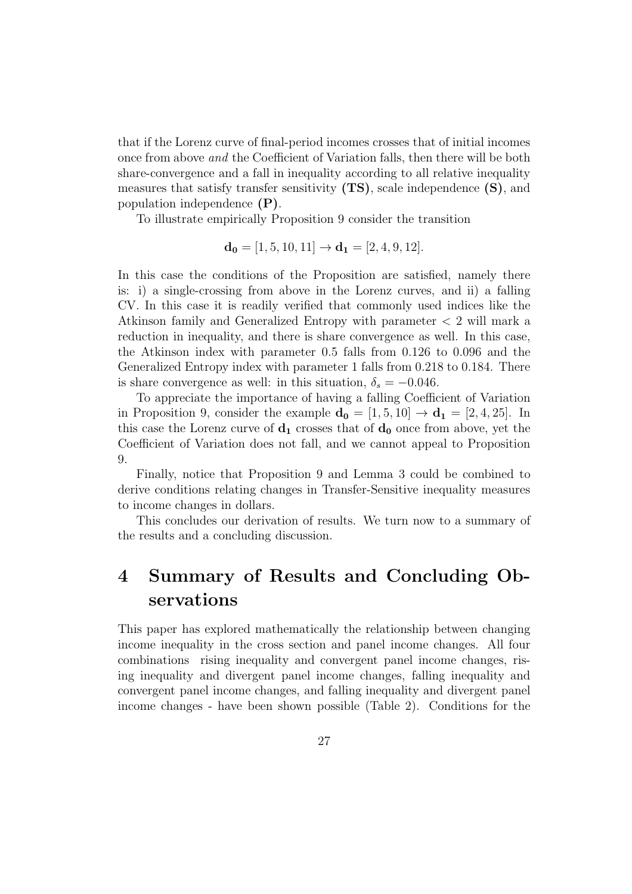that if the Lorenz curve of final-period incomes crosses that of initial incomes once from above and the Coefficient of Variation falls, then there will be both share-convergence and a fall in inequality according to all relative inequality measures that satisfy transfer sensitivity  $(TS)$ , scale independence  $(S)$ , and population independence (P).

To illustrate empirically Proposition 9 consider the transition

$$
\mathbf{d_0} = [1, 5, 10, 11] \rightarrow \mathbf{d_1} = [2, 4, 9, 12].
$$

In this case the conditions of the Proposition are satisfied, namely there is: i) a single-crossing from above in the Lorenz curves, and ii) a falling CV. In this case it is readily verified that commonly used indices like the Atkinson family and Generalized Entropy with parameter < 2 will mark a reduction in inequality, and there is share convergence as well. In this case, the Atkinson index with parameter 0.5 falls from 0.126 to 0.096 and the Generalized Entropy index with parameter 1 falls from 0.218 to 0.184. There is share convergence as well: in this situation,  $\delta_s = -0.046$ .

To appreciate the importance of having a falling Coefficient of Variation in Proposition 9, consider the example  $\mathbf{d_0} = [1, 5, 10] \rightarrow \mathbf{d_1} = [2, 4, 25]$ . In this case the Lorenz curve of  $\mathbf{d}_1$  crosses that of  $\mathbf{d}_0$  once from above, yet the Coefficient of Variation does not fall, and we cannot appeal to Proposition 9.

Finally, notice that Proposition 9 and Lemma 3 could be combined to derive conditions relating changes in Transfer-Sensitive inequality measures to income changes in dollars.

This concludes our derivation of results. We turn now to a summary of the results and a concluding discussion.

# 4 Summary of Results and Concluding Observations

This paper has explored mathematically the relationship between changing income inequality in the cross section and panel income changes. All four combinations rising inequality and convergent panel income changes, rising inequality and divergent panel income changes, falling inequality and convergent panel income changes, and falling inequality and divergent panel income changes - have been shown possible (Table 2). Conditions for the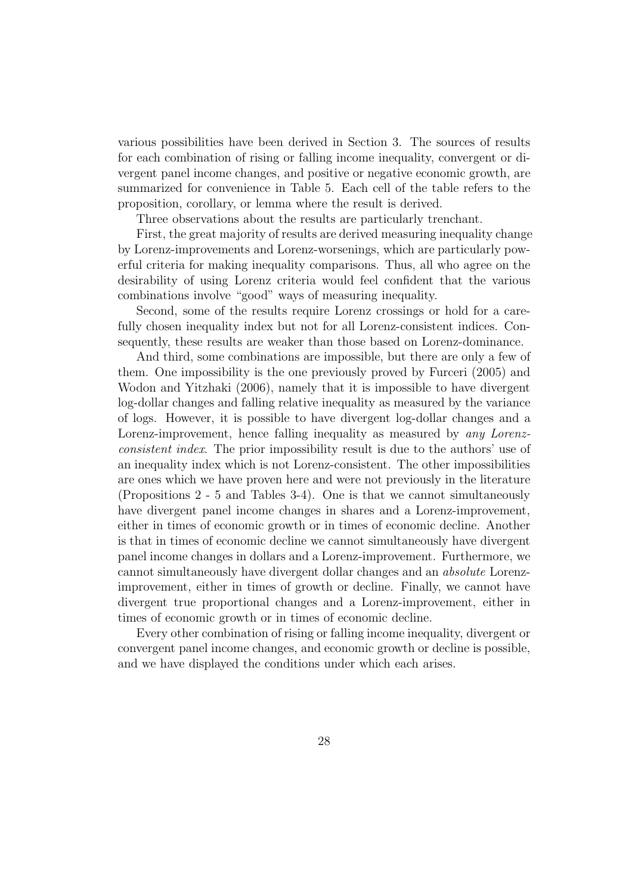various possibilities have been derived in Section 3. The sources of results for each combination of rising or falling income inequality, convergent or divergent panel income changes, and positive or negative economic growth, are summarized for convenience in Table 5. Each cell of the table refers to the proposition, corollary, or lemma where the result is derived.

Three observations about the results are particularly trenchant.

First, the great majority of results are derived measuring inequality change by Lorenz-improvements and Lorenz-worsenings, which are particularly powerful criteria for making inequality comparisons. Thus, all who agree on the desirability of using Lorenz criteria would feel confident that the various combinations involve "good" ways of measuring inequality.

Second, some of the results require Lorenz crossings or hold for a carefully chosen inequality index but not for all Lorenz-consistent indices. Consequently, these results are weaker than those based on Lorenz-dominance.

And third, some combinations are impossible, but there are only a few of them. One impossibility is the one previously proved by Furceri (2005) and Wodon and Yitzhaki (2006), namely that it is impossible to have divergent log-dollar changes and falling relative inequality as measured by the variance of logs. However, it is possible to have divergent log-dollar changes and a Lorenz-improvement, hence falling inequality as measured by any Lorenzconsistent index. The prior impossibility result is due to the authors' use of an inequality index which is not Lorenz-consistent. The other impossibilities are ones which we have proven here and were not previously in the literature (Propositions 2 - 5 and Tables 3-4). One is that we cannot simultaneously have divergent panel income changes in shares and a Lorenz-improvement, either in times of economic growth or in times of economic decline. Another is that in times of economic decline we cannot simultaneously have divergent panel income changes in dollars and a Lorenz-improvement. Furthermore, we cannot simultaneously have divergent dollar changes and an absolute Lorenzimprovement, either in times of growth or decline. Finally, we cannot have divergent true proportional changes and a Lorenz-improvement, either in times of economic growth or in times of economic decline.

Every other combination of rising or falling income inequality, divergent or convergent panel income changes, and economic growth or decline is possible, and we have displayed the conditions under which each arises.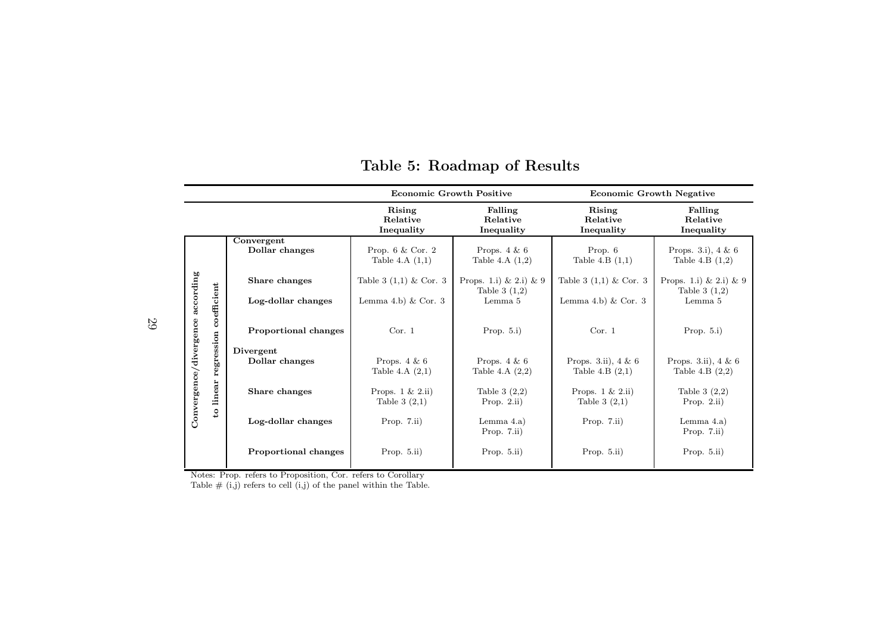|                        |                                      |                              | <b>Economic Growth Positive</b>                  |                                               | <b>Economic Growth Negative</b>                |                                             |  |
|------------------------|--------------------------------------|------------------------------|--------------------------------------------------|-----------------------------------------------|------------------------------------------------|---------------------------------------------|--|
|                        |                                      |                              | Rising<br>Relative<br>Inequality                 | Falling<br>Relative<br>Inequality             | Rising<br>Relative<br>Inequality               | Falling<br>Relative<br>Inequality           |  |
|                        |                                      | Convergent<br>Dollar changes | Prop. $6 \& \text{Cor. } 2$<br>Table 4.A $(1,1)$ | Props. $4 \& 6$<br>Table 4.A $(1,2)$          | Prop. 6<br>Table 4.B $(1,1)$                   | Props. 3.i), $4 \& 6$<br>Table 4.B $(1,2)$  |  |
| according              |                                      | Share changes                | Table 3 $(1,1)$ & Cor. 3                         | Props. 1.i) $\& 2.i) \& 9$<br>Table 3 $(1,2)$ | Table 3 $(1,1)$ & Cor. 3                       | Props. 1.i) & 2.i) & 9<br>Table 3 $(1,2)$   |  |
|                        | coefficient                          | Log-dollar changes           | Lemma 4.b) $& Cor. 3$                            | Lemma 5                                       | Lemma 4.b) $& Cor. 3$                          | Lemma 5                                     |  |
| Convergence/divergence | regression<br>linear<br>$\mathbf{c}$ | <b>Proportional changes</b>  | Cor. 1                                           | Prop. $5.i$ )                                 | Cor. 1                                         | Prop. $5.i$ )                               |  |
|                        |                                      | Divergent<br>Dollar changes  | Props. $4 \& 6$<br>Table 4.A $(2,1)$             | Props. $4 \& 6$<br>Table 4.A $(2,2)$          | Props. 3.ii), $4 \& 6$<br>Table 4.B $(2,1)$    | Props. 3.ii), $4 \& 6$<br>Table 4.B $(2,2)$ |  |
|                        |                                      | Share changes                | Props. $1 \& 2 \text{.}ii)$<br>Table $3(2,1)$    | Table 3 $(2,2)$<br>Prop. $2.ii)$              | Props. $1 \& 2 \text{.}ii)$<br>Table 3 $(2,1)$ | Table 3 $(2,2)$<br>Prop. $2.ii)$            |  |
|                        |                                      | Log-dollar changes           | Prop. $7.ii)$                                    | Lemma $4.a)$<br>Prop. $7.ii)$                 | Prop. $7.ii)$                                  | Lemma $4.a)$<br>Prop. 7.ii)                 |  |
|                        |                                      | <b>Proportional changes</b>  | Prop. $5.ii)$                                    | Prop. $5.ii)$                                 | Prop. $5.ii)$                                  | Prop. $5.ii)$                               |  |

# Table 5: Roadmap of Results

Notes: Prop. refers to Proposition, Cor. refers to Corollary

Table # (i,j) refers to cell (i,j) of the pane<sup>l</sup> within the Table.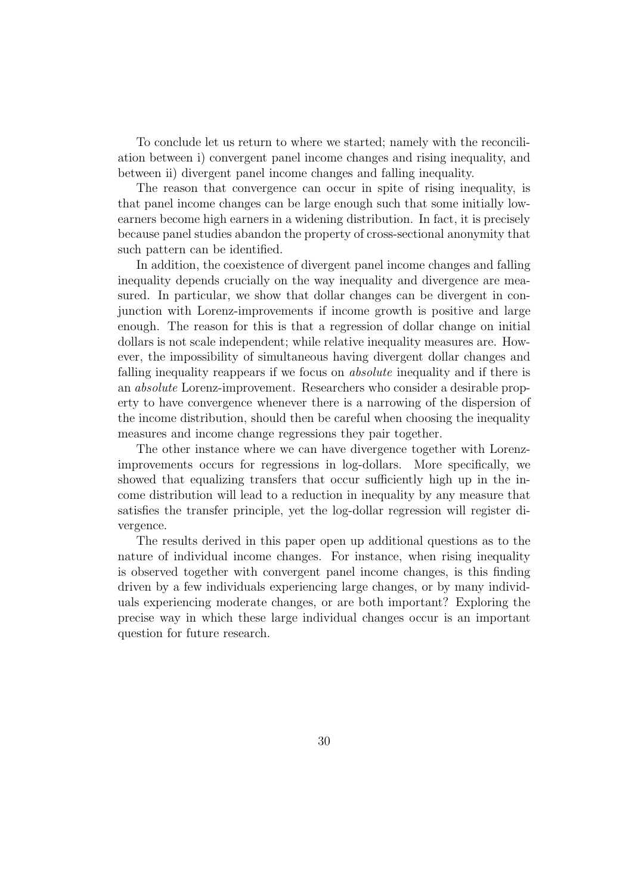To conclude let us return to where we started; namely with the reconciliation between i) convergent panel income changes and rising inequality, and between ii) divergent panel income changes and falling inequality.

The reason that convergence can occur in spite of rising inequality, is that panel income changes can be large enough such that some initially lowearners become high earners in a widening distribution. In fact, it is precisely because panel studies abandon the property of cross-sectional anonymity that such pattern can be identified.

In addition, the coexistence of divergent panel income changes and falling inequality depends crucially on the way inequality and divergence are measured. In particular, we show that dollar changes can be divergent in conjunction with Lorenz-improvements if income growth is positive and large enough. The reason for this is that a regression of dollar change on initial dollars is not scale independent; while relative inequality measures are. However, the impossibility of simultaneous having divergent dollar changes and falling inequality reappears if we focus on absolute inequality and if there is an absolute Lorenz-improvement. Researchers who consider a desirable property to have convergence whenever there is a narrowing of the dispersion of the income distribution, should then be careful when choosing the inequality measures and income change regressions they pair together.

The other instance where we can have divergence together with Lorenzimprovements occurs for regressions in log-dollars. More specifically, we showed that equalizing transfers that occur sufficiently high up in the income distribution will lead to a reduction in inequality by any measure that satisfies the transfer principle, yet the log-dollar regression will register divergence.

The results derived in this paper open up additional questions as to the nature of individual income changes. For instance, when rising inequality is observed together with convergent panel income changes, is this finding driven by a few individuals experiencing large changes, or by many individuals experiencing moderate changes, or are both important? Exploring the precise way in which these large individual changes occur is an important question for future research.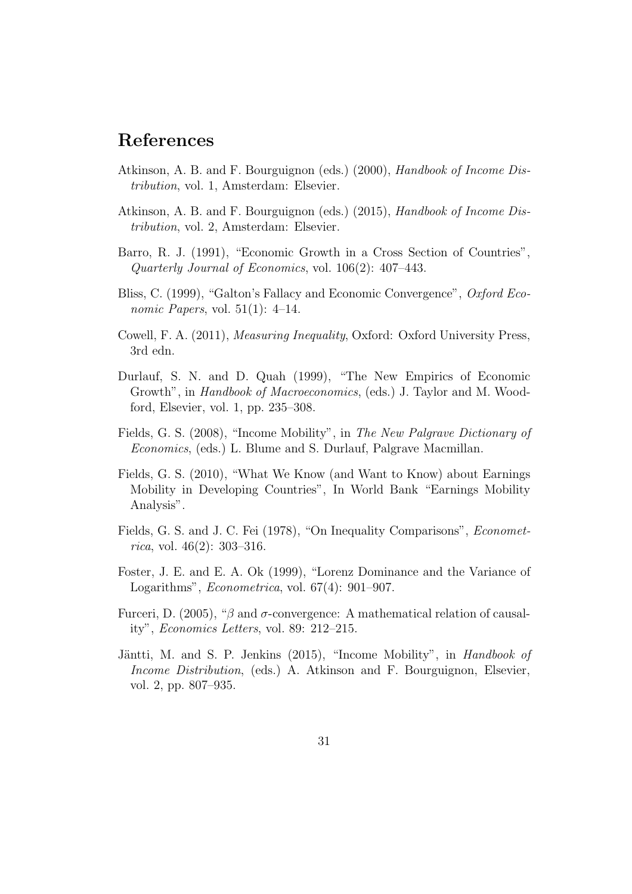# References

- Atkinson, A. B. and F. Bourguignon (eds.) (2000), Handbook of Income Distribution, vol. 1, Amsterdam: Elsevier.
- Atkinson, A. B. and F. Bourguignon (eds.) (2015), Handbook of Income Distribution, vol. 2, Amsterdam: Elsevier.
- Barro, R. J. (1991), "Economic Growth in a Cross Section of Countries", Quarterly Journal of Economics, vol. 106(2): 407–443.
- Bliss, C. (1999), "Galton's Fallacy and Economic Convergence", Oxford Economic Papers, vol. 51(1):  $4-14$ .
- Cowell, F. A. (2011), Measuring Inequality, Oxford: Oxford University Press, 3rd edn.
- Durlauf, S. N. and D. Quah (1999), "The New Empirics of Economic Growth", in Handbook of Macroeconomics, (eds.) J. Taylor and M. Woodford, Elsevier, vol. 1, pp. 235–308.
- Fields, G. S. (2008), "Income Mobility", in The New Palgrave Dictionary of Economics, (eds.) L. Blume and S. Durlauf, Palgrave Macmillan.
- Fields, G. S. (2010), "What We Know (and Want to Know) about Earnings Mobility in Developing Countries", In World Bank "Earnings Mobility Analysis".
- Fields, G. S. and J. C. Fei (1978), "On Inequality Comparisons", Economet*rica*, vol. 46(2): 303-316.
- Foster, J. E. and E. A. Ok (1999), "Lorenz Dominance and the Variance of Logarithms", Econometrica, vol. 67(4): 901–907.
- Furceri, D. (2005), "β and  $σ$ -convergence: A mathematical relation of causality", Economics Letters, vol. 89: 212–215.
- Jäntti, M. and S. P. Jenkins (2015), "Income Mobility", in Handbook of Income Distribution, (eds.) A. Atkinson and F. Bourguignon, Elsevier, vol. 2, pp. 807–935.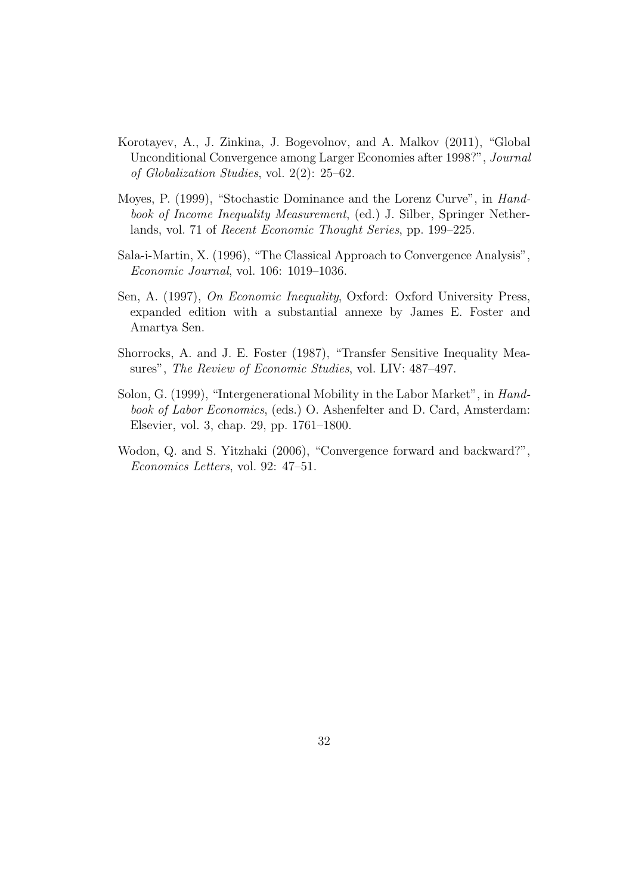- Korotayev, A., J. Zinkina, J. Bogevolnov, and A. Malkov (2011), "Global Unconditional Convergence among Larger Economies after 1998?", Journal of Globalization Studies, vol. 2(2): 25–62.
- Moyes, P. (1999), "Stochastic Dominance and the Lorenz Curve", in Handbook of Income Inequality Measurement, (ed.) J. Silber, Springer Netherlands, vol. 71 of Recent Economic Thought Series, pp. 199–225.
- Sala-i-Martin, X. (1996), "The Classical Approach to Convergence Analysis", Economic Journal, vol. 106: 1019–1036.
- Sen, A. (1997), On Economic Inequality, Oxford: Oxford University Press, expanded edition with a substantial annexe by James E. Foster and Amartya Sen.
- Shorrocks, A. and J. E. Foster (1987), "Transfer Sensitive Inequality Measures", The Review of Economic Studies, vol. LIV: 487-497.
- Solon, G. (1999), "Intergenerational Mobility in the Labor Market", in Handbook of Labor Economics, (eds.) O. Ashenfelter and D. Card, Amsterdam: Elsevier, vol. 3, chap. 29, pp. 1761–1800.
- Wodon, Q. and S. Yitzhaki (2006), "Convergence forward and backward?", Economics Letters, vol. 92: 47–51.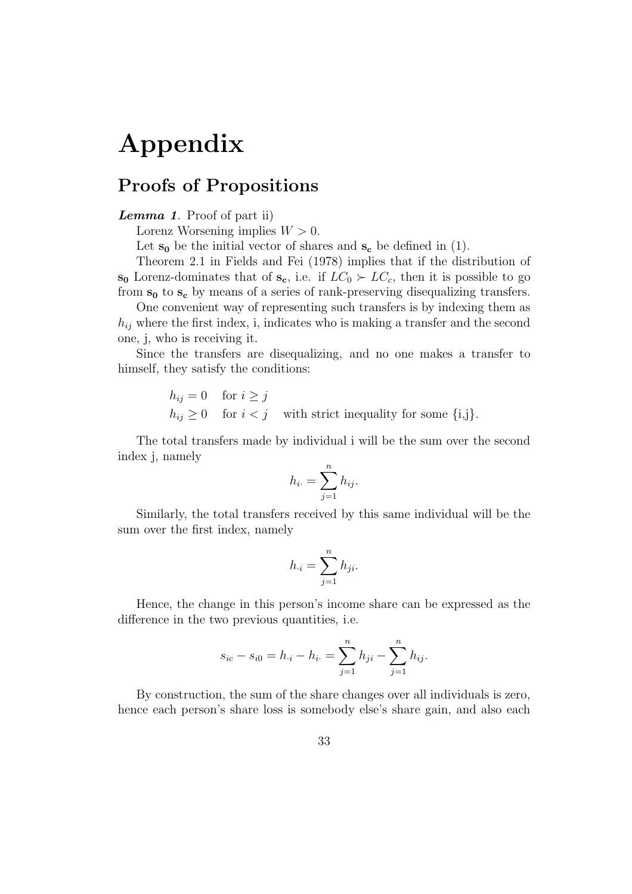# Appendix

# Proofs of Propositions

### Lemma 1. Proof of part ii)

Lorenz Worsening implies  $W > 0$ .

Let  $s_0$  be the initial vector of shares and  $s_c$  be defined in (1).

Theorem 2.1 in Fields and Fei (1978) implies that if the distribution of  $s_0$  Lorenz-dominates that of  $s_c$ , i.e. if  $LC_0 \succ LC_c$ , then it is possible to go from  $s_0$  to  $s_c$  by means of a series of rank-preserving disequalizing transfers.

One convenient way of representing such transfers is by indexing them as  $h_{ij}$  where the first index, i, indicates who is making a transfer and the second one, j, who is receiving it.

Since the transfers are disequalizing, and no one makes a transfer to himself, they satisfy the conditions:

$$
h_{ij} = 0 \quad \text{for } i \geq j
$$
  
\n
$$
h_{ij} \geq 0 \quad \text{for } i < j \quad \text{with strict inequality for some } \{i,j\}.
$$

The total transfers made by individual i will be the sum over the second index j, namely

$$
h_{i\cdot} = \sum_{j=1}^n h_{ij\cdot}
$$

Similarly, the total transfers received by this same individual will be the sum over the first index, namely

$$
h_{\cdot i} = \sum_{j=1}^{n} h_{ji}.
$$

Hence, the change in this person's income share can be expressed as the difference in the two previous quantities, i.e.

$$
s_{ic} - s_{i0} = h_{\cdot i} - h_{i\cdot} = \sum_{j=1}^{n} h_{ji} - \sum_{j=1}^{n} h_{ij}.
$$

By construction, the sum of the share changes over all individuals is zero, hence each person's share loss is somebody else's share gain, and also each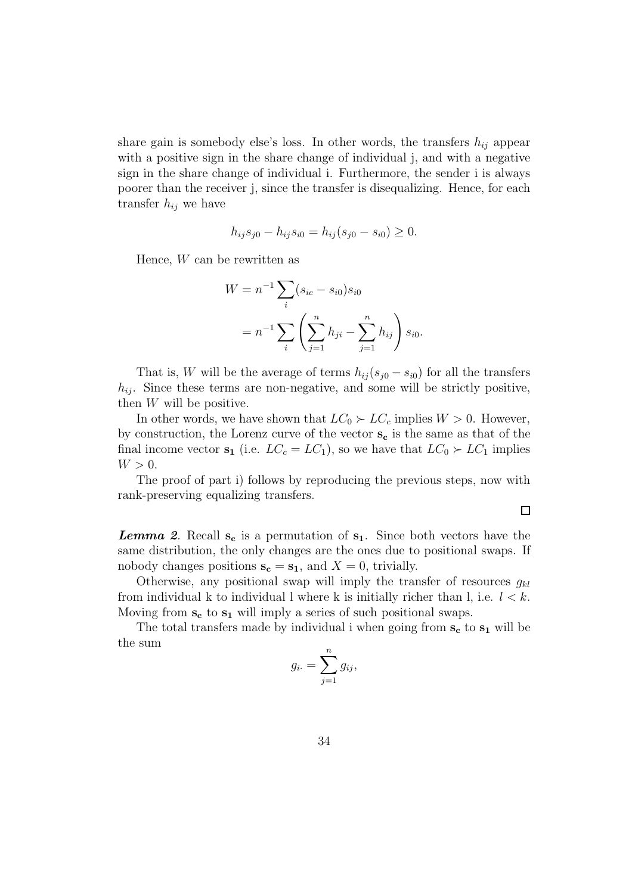share gain is somebody else's loss. In other words, the transfers  $h_{ij}$  appear with a positive sign in the share change of individual j, and with a negative sign in the share change of individual i. Furthermore, the sender i is always poorer than the receiver j, since the transfer is disequalizing. Hence, for each transfer  $h_{ij}$  we have

$$
h_{ij}s_{j0} - h_{ij}s_{i0} = h_{ij}(s_{j0} - s_{i0}) \ge 0.
$$

Hence, W can be rewritten as

$$
W = n^{-1} \sum_{i} (s_{ic} - s_{i0}) s_{i0}
$$
  
=  $n^{-1} \sum_{i} \left( \sum_{j=1}^{n} h_{ji} - \sum_{j=1}^{n} h_{ij} \right) s_{i0}.$ 

That is, W will be the average of terms  $h_{ij}(s_{j0} - s_{i0})$  for all the transfers  $h_{ij}$ . Since these terms are non-negative, and some will be strictly positive, then  $W$  will be positive.

In other words, we have shown that  $LC_0 \succ LC_c$  implies  $W > 0$ . However, by construction, the Lorenz curve of the vector  $s_c$  is the same as that of the final income vector  $s_1$  (i.e.  $LC_c = LC_1$ ), so we have that  $LC_0 \succ LC_1$  implies  $W > 0$ .

The proof of part i) follows by reproducing the previous steps, now with rank-preserving equalizing transfers.

 $\Box$ 

**Lemma 2.** Recall  $s_c$  is a permutation of  $s_1$ . Since both vectors have the same distribution, the only changes are the ones due to positional swaps. If nobody changes positions  $s_c = s_1$ , and  $X = 0$ , trivially.

Otherwise, any positional swap will imply the transfer of resources  $g_{kl}$ from individual k to individual l where k is initially richer than l, i.e.  $l < k$ . Moving from  $s_c$  to  $s_1$  will imply a series of such positional swaps.

The total transfers made by individual i when going from  $s_c$  to  $s_1$  will be the sum

$$
g_{i\cdot} = \sum_{j=1}^{n} g_{ij},
$$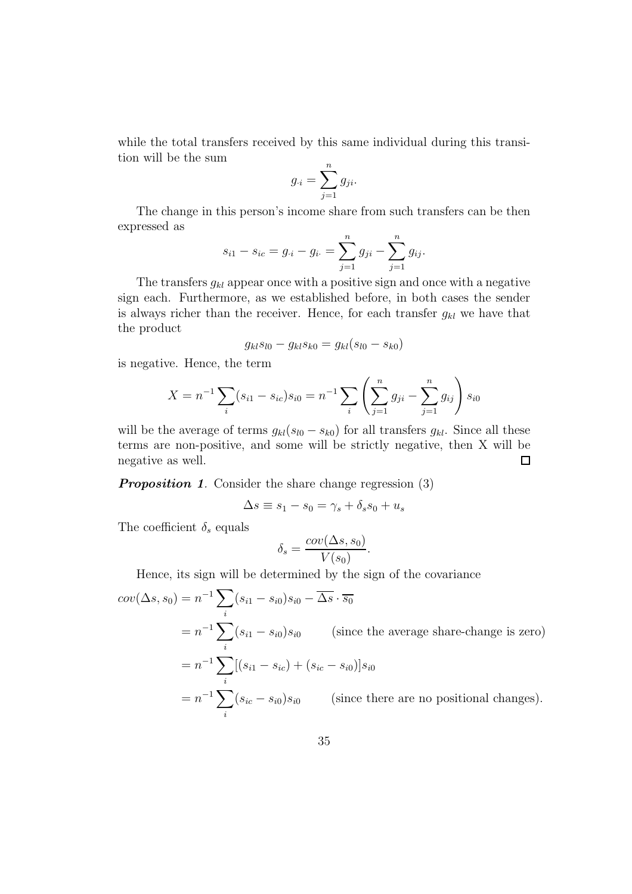while the total transfers received by this same individual during this transition will be the sum

$$
g_{\cdot i} = \sum_{j=1}^n g_{ji}.
$$

The change in this person's income share from such transfers can be then expressed as

$$
s_{i1} - s_{ic} = g_{\cdot i} - g_{i\cdot} = \sum_{j=1}^{n} g_{ji} - \sum_{j=1}^{n} g_{ij}.
$$

The transfers  $g_{kl}$  appear once with a positive sign and once with a negative sign each. Furthermore, as we established before, in both cases the sender is always richer than the receiver. Hence, for each transfer  $g_{kl}$  we have that the product

$$
g_{kl} s_{l0} - g_{kl} s_{k0} = g_{kl} (s_{l0} - s_{k0})
$$

is negative. Hence, the term

$$
X = n^{-1} \sum_{i} (s_{i1} - s_{ic}) s_{i0} = n^{-1} \sum_{i} \left( \sum_{j=1}^{n} g_{ji} - \sum_{j=1}^{n} g_{ij} \right) s_{i0}
$$

will be the average of terms  $g_{kl}(s_{l0} - s_{k0})$  for all transfers  $g_{kl}$ . Since all these terms are non-positive, and some will be strictly negative, then X will be negative as well.  $\Box$ 

**Proposition 1.** Consider the share change regression (3)

$$
\Delta s \equiv s_1 - s_0 = \gamma_s + \delta_s s_0 + u_s
$$

The coefficient  $\delta_s$  equals

$$
\delta_s = \frac{cov(\Delta s, s_0)}{V(s_0)}.
$$

Hence, its sign will be determined by the sign of the covariance

$$
cov(\Delta s, s_0) = n^{-1} \sum_i (s_{i1} - s_{i0}) s_{i0} - \overline{\Delta s} \cdot \overline{s_0}
$$
  
=  $n^{-1} \sum_i (s_{i1} - s_{i0}) s_{i0}$  (since the average share-change is zero)  
=  $n^{-1} \sum_i [(s_{i1} - s_{ic}) + (s_{ic} - s_{i0})] s_{i0}$   
=  $n^{-1} \sum_i (s_{ic} - s_{i0}) s_{i0}$  (since there are no positional changes).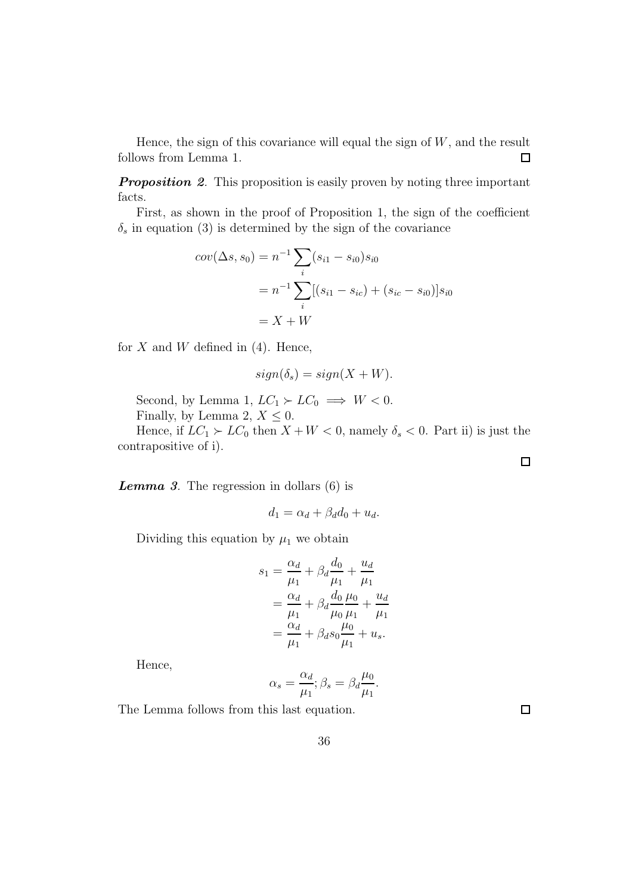Hence, the sign of this covariance will equal the sign of  $W$ , and the result follows from Lemma 1.  $\Box$ 

**Proposition 2.** This proposition is easily proven by noting three important facts.

First, as shown in the proof of Proposition 1, the sign of the coefficient  $\delta_s$  in equation (3) is determined by the sign of the covariance

$$
cov(\Delta s, s_0) = n^{-1} \sum_{i} (s_{i1} - s_{i0}) s_{i0}
$$
  
=  $n^{-1} \sum_{i} [(s_{i1} - s_{ic}) + (s_{ic} - s_{i0})] s_{i0}$   
=  $X + W$ 

for  $X$  and  $W$  defined in (4). Hence,

$$
sign(\delta_s) = sign(X + W).
$$

Second, by Lemma 1,  $LC_1 \succ LC_0 \implies W < 0$ . Finally, by Lemma 2,  $X \leq 0$ .

Hence, if  $LC_1 \succ LC_0$  then  $X + W < 0$ , namely  $\delta_s < 0$ . Part ii) is just the contrapositive of i).

**Lemma 3.** The regression in dollars  $(6)$  is

$$
d_1 = \alpha_d + \beta_d d_0 + u_d.
$$

Dividing this equation by  $\mu_1$  we obtain

$$
s_1 = \frac{\alpha_d}{\mu_1} + \beta_d \frac{d_0}{\mu_1} + \frac{u_d}{\mu_1}
$$
  
=  $\frac{\alpha_d}{\mu_1} + \beta_d \frac{d_0}{\mu_0} \frac{\mu_0}{\mu_1} + \frac{u_d}{\mu_1}$   
=  $\frac{\alpha_d}{\mu_1} + \beta_d s_0 \frac{\mu_0}{\mu_1} + u_s$ .

Hence,

$$
\alpha_s = \frac{\alpha_d}{\mu_1}; \beta_s = \beta_d \frac{\mu_0}{\mu_1}.
$$

The Lemma follows from this last equation.

 $\Box$ 

 $\Box$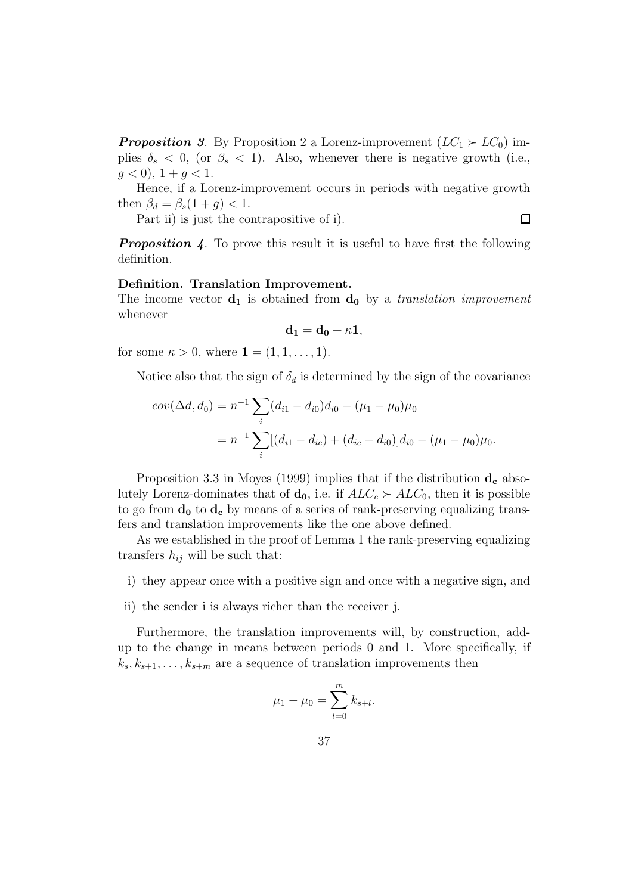**Proposition** 3. By Proposition 2 a Lorenz-improvement  $(LC_1 \succ LC_0)$  implies  $\delta_s < 0$ , (or  $\beta_s < 1$ ). Also, whenever there is negative growth (i.e.,  $g < 0$ ,  $1 + g < 1$ .

Hence, if a Lorenz-improvement occurs in periods with negative growth then  $\beta_d = \beta_s(1+q) < 1$ .

Part ii) is just the contrapositive of i).  $\Box$ 

**Proposition 4.** To prove this result it is useful to have first the following definition.

#### Definition. Translation Improvement.

The income vector  $\mathbf{d}_1$  is obtained from  $\mathbf{d}_0$  by a translation improvement whenever

$$
\mathbf{d_1} = \mathbf{d_0} + \kappa \mathbf{1},
$$

for some  $\kappa > 0$ , where  $\mathbf{1} = (1, 1, \ldots, 1)$ .

Notice also that the sign of  $\delta_d$  is determined by the sign of the covariance

$$
cov(\Delta d, d_0) = n^{-1} \sum_i (d_{i1} - d_{i0}) d_{i0} - (\mu_1 - \mu_0) \mu_0
$$
  
= 
$$
n^{-1} \sum_i [(d_{i1} - d_{ic}) + (d_{ic} - d_{i0})] d_{i0} - (\mu_1 - \mu_0) \mu_0.
$$

Proposition 3.3 in Moyes (1999) implies that if the distribution  $\mathbf{d}_{\mathbf{c}}$  absolutely Lorenz-dominates that of  $\mathbf{d_0}$ , i.e. if  $ALC_c \succ ALC_0$ , then it is possible to go from  $\mathbf{d}_0$  to  $\mathbf{d}_c$  by means of a series of rank-preserving equalizing transfers and translation improvements like the one above defined.

As we established in the proof of Lemma 1 the rank-preserving equalizing transfers  $h_{ij}$  will be such that:

- i) they appear once with a positive sign and once with a negative sign, and
- ii) the sender i is always richer than the receiver j.

Furthermore, the translation improvements will, by construction, addup to the change in means between periods 0 and 1. More specifically, if  $k_s, k_{s+1}, \ldots, k_{s+m}$  are a sequence of translation improvements then

$$
\mu_1 - \mu_0 = \sum_{l=0}^m k_{s+l}.
$$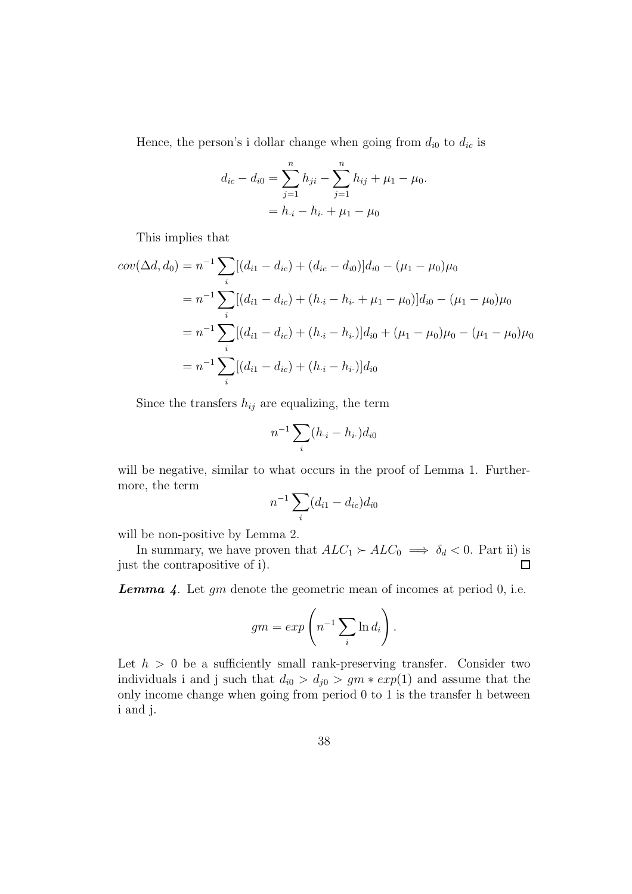Hence, the person's i dollar change when going from  $d_{i0}$  to  $d_{ic}$  is

$$
d_{ic} - d_{i0} = \sum_{j=1}^{n} h_{ji} - \sum_{j=1}^{n} h_{ij} + \mu_1 - \mu_0.
$$
  
=  $h_{\cdot i} - h_{i\cdot} + \mu_1 - \mu_0$ 

This implies that

$$
cov(\Delta d, d_0) = n^{-1} \sum_{i} [(d_{i1} - d_{ic}) + (d_{ic} - d_{i0})] d_{i0} - (\mu_1 - \mu_0) \mu_0
$$
  
=  $n^{-1} \sum_{i} [(d_{i1} - d_{ic}) + (h_{\cdot i} - h_{i\cdot} + \mu_1 - \mu_0)] d_{i0} - (\mu_1 - \mu_0) \mu_0$   
=  $n^{-1} \sum_{i} [(d_{i1} - d_{ic}) + (h_{\cdot i} - h_{i\cdot})] d_{i0} + (\mu_1 - \mu_0) \mu_0 - (\mu_1 - \mu_0) \mu_0$   
=  $n^{-1} \sum_{i} [(d_{i1} - d_{ic}) + (h_{\cdot i} - h_{i\cdot})] d_{i0}$ 

Since the transfers  $h_{ij}$  are equalizing, the term

$$
n^{-1} \sum_{i} (h_{\cdot i} - h_{i\cdot}) d_{i0}
$$

will be negative, similar to what occurs in the proof of Lemma 1. Furthermore, the term

$$
n^{-1} \sum_{i} (d_{i1} - d_{ic}) d_{i0}
$$

will be non-positive by Lemma 2.

In summary, we have proven that  $ALC_1 \succ ALC_0 \implies \delta_d < 0$ . Part ii) is just the contrapositive of i).  $\Box$ 

**Lemma 4.** Let  $gm$  denote the geometric mean of incomes at period  $0$ , i.e.

$$
gm = exp\left(n^{-1} \sum_{i} \ln d_i\right).
$$

Let  $h > 0$  be a sufficiently small rank-preserving transfer. Consider two individuals i and j such that  $d_{i0} > d_{i0} > gm * exp(1)$  and assume that the only income change when going from period 0 to 1 is the transfer h between i and j.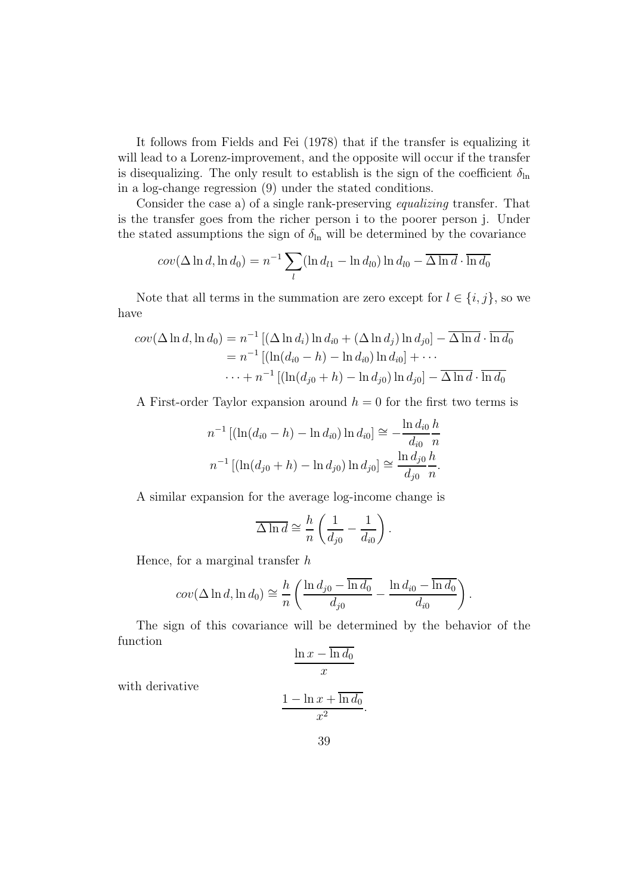It follows from Fields and Fei (1978) that if the transfer is equalizing it will lead to a Lorenz-improvement, and the opposite will occur if the transfer is disequalizing. The only result to establish is the sign of the coefficient  $\delta_{\ln}$ in a log-change regression (9) under the stated conditions.

Consider the case a) of a single rank-preserving equalizing transfer. That is the transfer goes from the richer person i to the poorer person j. Under the stated assumptions the sign of  $\delta_{\ln}$  will be determined by the covariance

$$
cov(\Delta \ln d, \ln d_0) = n^{-1} \sum_{l} (\ln d_{l1} - \ln d_{l0}) \ln d_{l0} - \overline{\Delta \ln d} \cdot \overline{\ln d_0}
$$

Note that all terms in the summation are zero except for  $l \in \{i, j\}$ , so we have

$$
cov(\Delta \ln d, \ln d_0) = n^{-1} [(\Delta \ln d_i) \ln d_{i0} + (\Delta \ln d_j) \ln d_{i0}] - \overline{\Delta \ln d} \cdot \overline{\ln d_0}
$$
  
=  $n^{-1} [(\ln(d_{i0} - h) - \ln d_{i0}) \ln d_{i0}] + \cdots$   
 $\cdots + n^{-1} [(\ln(d_{j0} + h) - \ln d_{j0}) \ln d_{j0}] - \overline{\Delta \ln d} \cdot \overline{\ln d_0}$ 

A First-order Taylor expansion around  $h = 0$  for the first two terms is

$$
n^{-1} [(\ln(d_{i0} - h) - \ln d_{i0}) \ln d_{i0}] \approx -\frac{\ln d_{i0} h}{d_{i0} n}
$$

$$
n^{-1} [(\ln(d_{j0} + h) - \ln d_{j0}) \ln d_{j0}] \approx \frac{\ln d_{j0} h}{d_{j0} n}.
$$

A similar expansion for the average log-income change is

$$
\overline{\Delta \ln d} \cong \frac{h}{n} \left( \frac{1}{d_{j0}} - \frac{1}{d_{i0}} \right).
$$

Hence, for a marginal transfer  $h$ 

$$
cov(\Delta \ln d, \ln d_0) \cong \frac{h}{n} \left( \frac{\ln d_{j0} - \overline{\ln d_0}}{d_{j0}} - \frac{\ln d_{i0} - \overline{\ln d_0}}{d_{i0}} \right).
$$

The sign of this covariance will be determined by the behavior of the function

$$
\frac{\ln x - \overline{\ln d_0}}{x}
$$

with derivative

$$
\frac{1 - \ln x + \overline{\ln d_0}}{x^2}
$$

.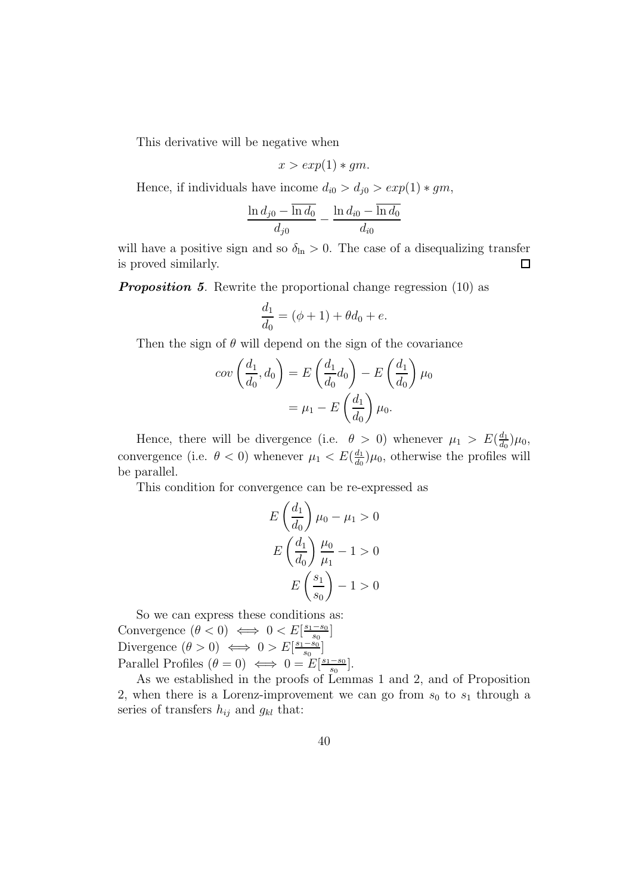This derivative will be negative when

$$
x > exp(1) * gm.
$$

Hence, if individuals have income  $d_{i0} > d_{j0} > exp(1) * gm$ ,

$$
\frac{\ln d_{j0} - \overline{\ln d_0}}{d_{j0}} - \frac{\ln d_{i0} - \overline{\ln d_0}}{d_{i0}}
$$

will have a positive sign and so  $\delta_{\ln} > 0$ . The case of a disequalizing transfer  $\Box$ is proved similarly.

**Proposition 5.** Rewrite the proportional change regression (10) as

$$
\frac{d_1}{d_0} = (\phi + 1) + \theta d_0 + e.
$$

Then the sign of  $\theta$  will depend on the sign of the covariance

$$
cov\left(\frac{d_1}{d_0}, d_0\right) = E\left(\frac{d_1}{d_0}d_0\right) - E\left(\frac{d_1}{d_0}\right)\mu_0
$$

$$
= \mu_1 - E\left(\frac{d_1}{d_0}\right)\mu_0.
$$

Hence, there will be divergence (i.e.  $\theta > 0$ ) whenever  $\mu_1 > E(\frac{d_1}{d_0})$  $\frac{d_1}{d_0}\big)\mu_0,$ convergence (i.e.  $\theta < 0$ ) whenever  $\mu_1 < E(\frac{d_1}{d_0})$  $\frac{d_1}{d_0}$ ) $\mu_0$ , otherwise the profiles will be parallel.

This condition for convergence can be re-expressed as

$$
E\left(\frac{d_1}{d_0}\right)\mu_0 - \mu_1 > 0
$$

$$
E\left(\frac{d_1}{d_0}\right)\frac{\mu_0}{\mu_1} - 1 > 0
$$

$$
E\left(\frac{s_1}{s_0}\right) - 1 > 0
$$

So we can express these conditions as: Convergence  $(\theta < 0) \iff 0 < E\left[\frac{s_1 - s_0}{s_0}\right]$  $\frac{-s_0}{s_0}$ ] Divergence  $(\theta > 0) \iff 0 > E[\frac{s_1 - s_0}{s_0}]$  $\frac{-s_0}{s_0}$ ] Parallel Profiles  $(\theta = 0) \iff 0 = E\left[\frac{s_1 - s_0}{s_0}\right]$  $\frac{-s_0}{s_0}$ .

As we established in the proofs of Lemmas 1 and 2, and of Proposition 2, when there is a Lorenz-improvement we can go from  $s_0$  to  $s_1$  through a series of transfers  $h_{ij}$  and  $g_{kl}$  that: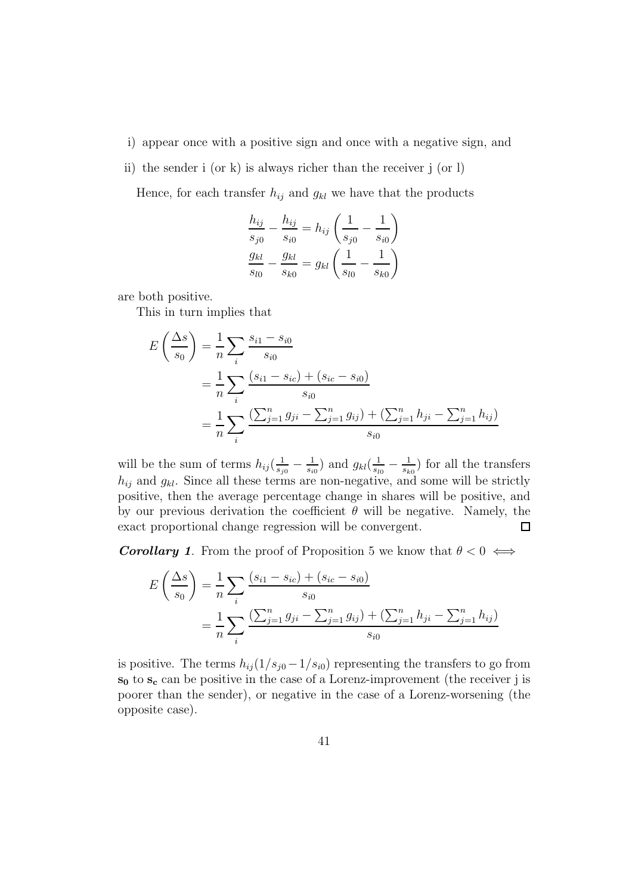- i) appear once with a positive sign and once with a negative sign, and
- ii) the sender i (or k) is always richer than the receiver j (or l)

Hence, for each transfer  $h_{ij}$  and  $g_{kl}$  we have that the products

$$
\frac{h_{ij}}{s_{j0}} - \frac{h_{ij}}{s_{i0}} = h_{ij} \left( \frac{1}{s_{j0}} - \frac{1}{s_{i0}} \right)
$$

$$
\frac{g_{kl}}{s_{l0}} - \frac{g_{kl}}{s_{k0}} = g_{kl} \left( \frac{1}{s_{l0}} - \frac{1}{s_{k0}} \right)
$$

are both positive.

This in turn implies that

$$
E\left(\frac{\Delta s}{s_0}\right) = \frac{1}{n} \sum_i \frac{s_{i1} - s_{i0}}{s_{i0}}
$$
  
= 
$$
\frac{1}{n} \sum_i \frac{(s_{i1} - s_{ic}) + (s_{ic} - s_{i0})}{s_{i0}}
$$
  
= 
$$
\frac{1}{n} \sum_i \frac{\left(\sum_{j=1}^n g_{ji} - \sum_{j=1}^n g_{ij}\right) + \left(\sum_{j=1}^n h_{ji} - \sum_{j=1}^n h_{ij}\right)}{s_{i0}}
$$

will be the sum of terms  $h_{ij}(\frac{1}{s_i})$  $\frac{1}{s_{j0}}-\frac{1}{s_{i0}}$  $\frac{1}{s_{i0}}$ ) and  $g_{kl}(\frac{1}{s_{li}})$  $\frac{1}{s_{l0}}-\frac{1}{s_k}$  $\frac{1}{s_{k0}}$  for all the transfers  $h_{ij}$  and  $g_{kl}$ . Since all these terms are non-negative, and some will be strictly positive, then the average percentage change in shares will be positive, and by our previous derivation the coefficient  $\theta$  will be negative. Namely, the exact proportional change regression will be convergent.  $\Box$ 

**Corollary 1.** From the proof of Proposition 5 we know that  $\theta < 0 \iff$ 

$$
E\left(\frac{\Delta s}{s_0}\right) = \frac{1}{n} \sum_i \frac{(s_{i1} - s_{ic}) + (s_{ic} - s_{i0})}{s_{i0}}
$$
  
= 
$$
\frac{1}{n} \sum_i \frac{\left(\sum_{j=1}^n g_{ji} - \sum_{j=1}^n g_{ij}\right) + \left(\sum_{j=1}^n h_{ji} - \sum_{j=1}^n h_{ij}\right)}{s_{i0}}
$$

is positive. The terms  $h_{ij} (1/s_{j0} - 1/s_{i0})$  representing the transfers to go from  $s_0$  to  $s_c$  can be positive in the case of a Lorenz-improvement (the receiver j is poorer than the sender), or negative in the case of a Lorenz-worsening (the opposite case).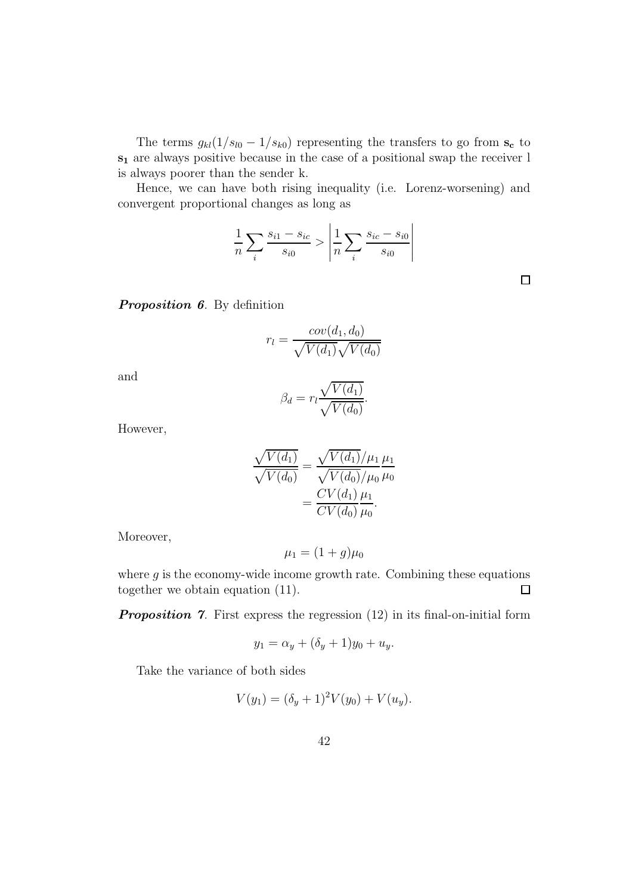The terms  $g_{kl}(1/s_{l0} - 1/s_{k0})$  representing the transfers to go from  $s_c$  to s<sup>1</sup> are always positive because in the case of a positional swap the receiver l is always poorer than the sender k.

Hence, we can have both rising inequality (i.e. Lorenz-worsening) and convergent proportional changes as long as

$$
\frac{1}{n} \sum_{i} \frac{s_{i1} - s_{ic}}{s_{i0}} > \left| \frac{1}{n} \sum_{i} \frac{s_{ic} - s_{i0}}{s_{i0}} \right|
$$

 $\Box$ 

Proposition 6. By definition

$$
r_l = \frac{cov(d_1, d_0)}{\sqrt{V(d_1)}\sqrt{V(d_0)}}
$$

and

$$
\beta_d = r_l \frac{\sqrt{V(d_1)}}{\sqrt{V(d_0)}}.
$$

However,

$$
\frac{\sqrt{V(d_1)}}{\sqrt{V(d_0)}} = \frac{\sqrt{V(d_1)}/\mu_1}{\sqrt{V(d_0)}/\mu_0} \frac{\mu_1}{\mu_0}
$$

$$
= \frac{CV(d_1)}{CV(d_0)} \frac{\mu_1}{\mu_0}.
$$

Moreover,

$$
\mu_1 = (1+g)\mu_0
$$

where  $g$  is the economy-wide income growth rate. Combining these equations together we obtain equation (11).  $\Box$ 

**Proposition 7.** First express the regression  $(12)$  in its final-on-initial form

$$
y_1 = \alpha_y + (\delta_y + 1)y_0 + u_y.
$$

Take the variance of both sides

$$
V(y_1) = (\delta_y + 1)^2 V(y_0) + V(u_y).
$$